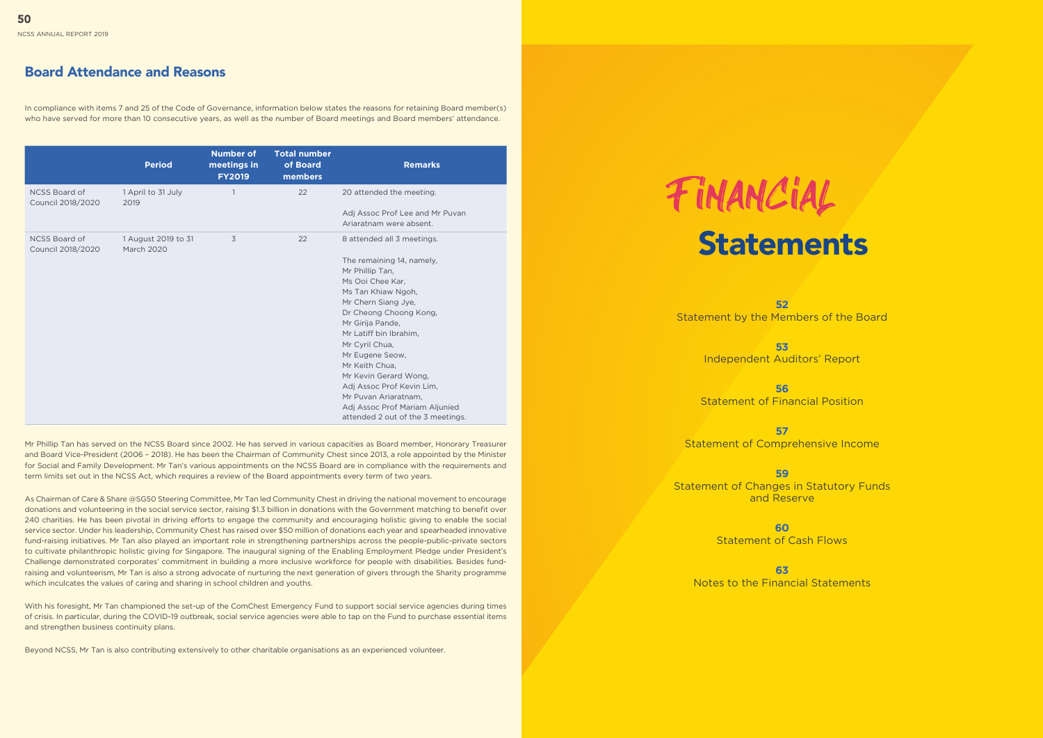

**52** Statement by the Members of the Board

> **53** Independent Auditors' Report

**56**  Statement of Financial Position

**57**  Statement of Comprehensive Income

**59** Statement of Changes in Statutory Funds and Reserve

> **60** Statement of Cash Flows

**63** Notes to the Financial Statements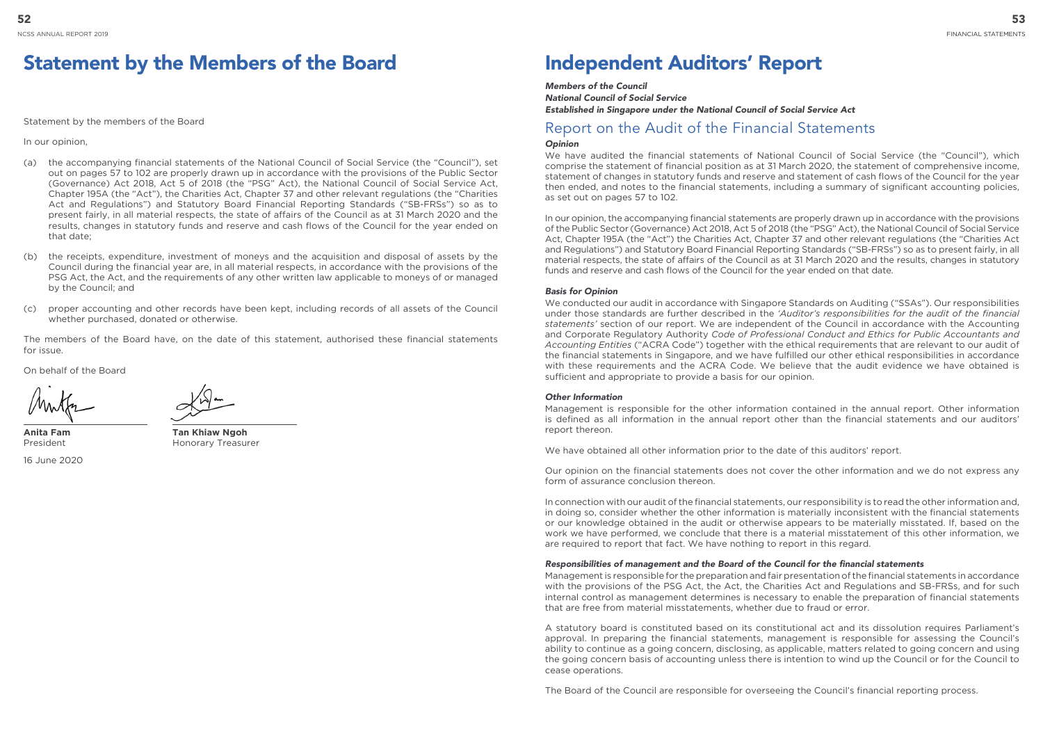Statement by the members of the Board

In our opinion,

- (a) the accompanying financial statements of the National Council of Social Service (the "Council"), set out on pages 57 to 102 are properly drawn up in accordance with the provisions of the Public Sector (Governance) Act 2018, Act 5 of 2018 (the "PSG" Act), the National Council of Social Service Act, Chapter 195A (the "Act"), the Charities Act, Chapter 37 and other relevant regulations (the "Charities Act and Regulations") and Statutory Board Financial Reporting Standards ("SB-FRSs") so as to present fairly, in all material respects, the state of affairs of the Council as at 31 March 2020 and the results, changes in statutory funds and reserve and cash flows of the Council for the year ended on that date;
- (b) the receipts, expenditure, investment of moneys and the acquisition and disposal of assets by the Council during the financial year are, in all material respects, in accordance with the provisions of the PSG Act, the Act, and the requirements of any other written law applicable to moneys of or managed by the Council; and
- (c) proper accounting and other records have been kept, including records of all assets of the Council whether purchased, donated or otherwise.

The members of the Board have, on the date of this statement, authorised these financial statements for issue.

On behalf of the Board

**Anita Fam** President

**Tan Khiaw Ngoh** Honorary Treasurer

16 June 2020

### Report on the Audit of the Financial Statements *Opinion*

We have audited the financial statements of National Council of Social Service (the "Council"), which comprise the statement of financial position as at 31 March 2020, the statement of comprehensive income, statement of changes in statutory funds and reserve and statement of cash flows of the Council for the year then ended, and notes to the financial statements, including a summary of significant accounting policies, as set out on pages 57 to 102.

In our opinion, the accompanying financial statements are properly drawn up in accordance with the provisions of the Public Sector (Governance) Act 2018, Act 5 of 2018 (the "PSG" Act), the National Council of Social Service Act, Chapter 195A (the "Act") the Charities Act, Chapter 37 and other relevant regulations (the "Charities Act and Regulations") and Statutory Board Financial Reporting Standards ("SB-FRSs") so as to present fairly, in all material respects, the state of affairs of the Council as at 31 March 2020 and the results, changes in statutory funds and reserve and cash flows of the Council for the year ended on that date.

#### *Basis for Opinion*

# Statement by the Members of the Board **Independent Auditors' Report**

We conducted our audit in accordance with Singapore Standards on Auditing ("SSAs"). Our responsibilities under those standards are further described in the *'Auditor's responsibilities for the audit of the financial statements'* section of our report. We are independent of the Council in accordance with the Accounting and Corporate Regulatory Authority *Code of Professional Conduct and Ethics for Public Accountants and Accounting Entities* ("ACRA Code") together with the ethical requirements that are relevant to our audit of the financial statements in Singapore, and we have fulfilled our other ethical responsibilities in accordance with these requirements and the ACRA Code. We believe that the audit evidence we have obtained is sufficient and appropriate to provide a basis for our opinion.

#### *Other Information*

Management is responsible for the other information contained in the annual report. Other information is defined as all information in the annual report other than the financial statements and our auditors' report thereon.

We have obtained all other information prior to the date of this auditors' report.

Our opinion on the financial statements does not cover the other information and we do not express any form of assurance conclusion thereon.

In connection with our audit of the financial statements, our responsibility is to read the other information and, in doing so, consider whether the other information is materially inconsistent with the financial statements or our knowledge obtained in the audit or otherwise appears to be materially misstated. If, based on the work we have performed, we conclude that there is a material misstatement of this other information, we are required to report that fact. We have nothing to report in this regard.

### Responsibilities of management and the Board of the Council for the financial statements

Management is responsible for the preparation and fair presentation of the financial statements in accordance with the provisions of the PSG Act, the Act, the Charities Act and Regulations and SB-FRSs, and for such internal control as management determines is necessary to enable the preparation of financial statements that are free from material misstatements, whether due to fraud or error.

A statutory board is constituted based on its constitutional act and its dissolution requires Parliament's approval. In preparing the financial statements, management is responsible for assessing the Council's ability to continue as a going concern, disclosing, as applicable, matters related to going concern and using the going concern basis of accounting unless there is intention to wind up the Council or for the Council to cease operations.

The Board of the Council are responsible for overseeing the Council's financial reporting process.

*Members of the Council National Council of Social Service*

*Established in Singapore under the National Council of Social Service Act*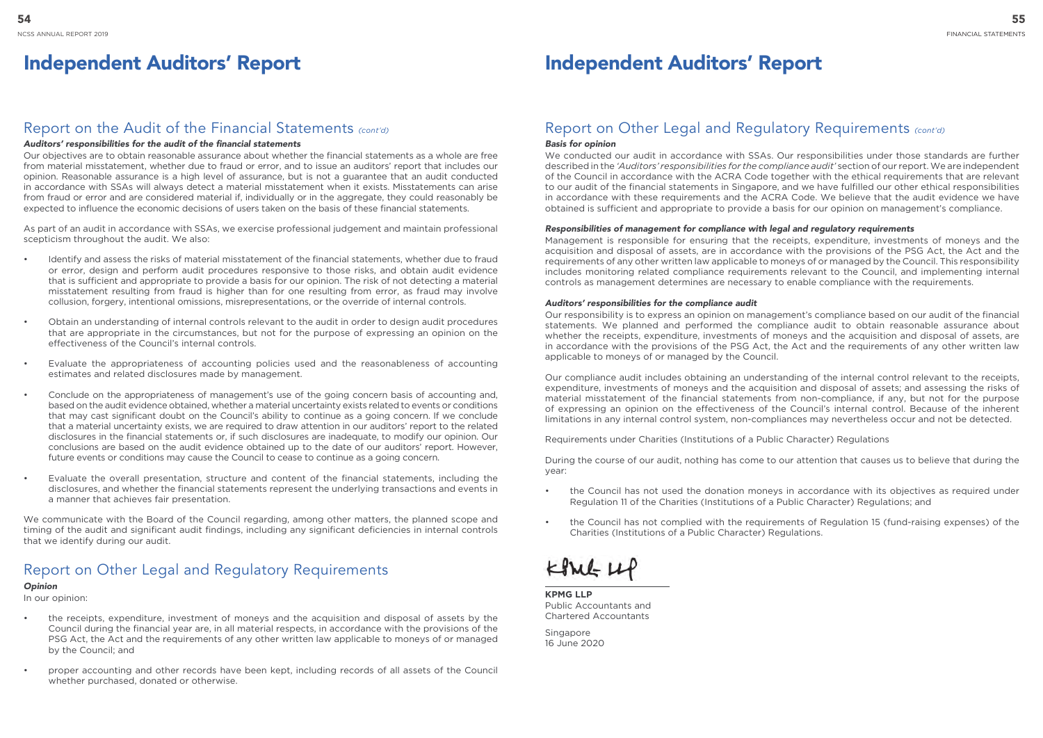# Independent Auditors' Report Independent Auditors' Report

### Report on the Audit of the Financial Statements *(cont'd)*

### Auditors' responsibilities for the audit of the financial statements

Our objectives are to obtain reasonable assurance about whether the financial statements as a whole are free from material misstatement, whether due to fraud or error, and to issue an auditors' report that includes our opinion. Reasonable assurance is a high level of assurance, but is not a guarantee that an audit conducted in accordance with SSAs will always detect a material misstatement when it exists. Misstatements can arise from fraud or error and are considered material if, individually or in the aggregate, they could reasonably be expected to influence the economic decisions of users taken on the basis of these financial statements.

As part of an audit in accordance with SSAs, we exercise professional judgement and maintain professional scepticism throughout the audit. We also:

- Identify and assess the risks of material misstatement of the financial statements, whether due to fraud or error, design and perform audit procedures responsive to those risks, and obtain audit evidence that is sufficient and appropriate to provide a basis for our opinion. The risk of not detecting a material misstatement resulting from fraud is higher than for one resulting from error, as fraud may involve collusion, forgery, intentional omissions, misrepresentations, or the override of internal controls.
- Obtain an understanding of internal controls relevant to the audit in order to design audit procedures that are appropriate in the circumstances, but not for the purpose of expressing an opinion on the effectiveness of the Council's internal controls.
- Evaluate the appropriateness of accounting policies used and the reasonableness of accounting estimates and related disclosures made by management.
- Conclude on the appropriateness of management's use of the going concern basis of accounting and, based on the audit evidence obtained, whether a material uncertainty exists related to events or conditions that may cast significant doubt on the Council's ability to continue as a going concern. If we conclude that a material uncertainty exists, we are required to draw attention in our auditors' report to the related disclosures in the financial statements or, if such disclosures are inadequate, to modify our opinion. Our conclusions are based on the audit evidence obtained up to the date of our auditors' report. However, future events or conditions may cause the Council to cease to continue as a going concern.
- Evaluate the overall presentation, structure and content of the financial statements, including the disclosures, and whether the financial statements represent the underlying transactions and events in a manner that achieves fair presentation.

We communicate with the Board of the Council regarding, among other matters, the planned scope and timing of the audit and significant audit findings, including any significant deficiencies in internal controls that we identify during our audit.

## Report on Other Legal and Regulatory Requirements

#### *Opinion*

In our opinion:

- the receipts, expenditure, investment of moneys and the acquisition and disposal of assets by the Council during the financial year are, in all material respects, in accordance with the provisions of the PSG Act, the Act and the requirements of any other written law applicable to moneys of or managed by the Council; and
- proper accounting and other records have been kept, including records of all assets of the Council whether purchased, donated or otherwise.

## Report on Other Legal and Regulatory Requirements *(cont'd)*

### *Basis for opinion*

We conducted our audit in accordance with SSAs. Our responsibilities under those standards are further described in the *'Auditors' responsibilities for the compliance audit'* section of our report. We are independent of the Council in accordance with the ACRA Code together with the ethical requirements that are relevant to our audit of the financial statements in Singapore, and we have fulfilled our other ethical responsibilities in accordance with these requirements and the ACRA Code. We believe that the audit evidence we have obtained is sufficient and appropriate to provide a basis for our opinion on management's compliance.

### *Responsibilities of management for compliance with legal and regulatory requirements*

Management is responsible for ensuring that the receipts, expenditure, investments of moneys and the acquisition and disposal of assets, are in accordance with the provisions of the PSG Act, the Act and the requirements of any other written law applicable to moneys of or managed by the Council. This responsibility includes monitoring related compliance requirements relevant to the Council, and implementing internal controls as management determines are necessary to enable compliance with the requirements.

#### *Auditors' responsibilities for the compliance audit*

Our responsibility is to express an opinion on management's compliance based on our audit of the financial statements. We planned and performed the compliance audit to obtain reasonable assurance about whether the receipts, expenditure, investments of moneys and the acquisition and disposal of assets, are in accordance with the provisions of the PSG Act, the Act and the requirements of any other written law applicable to moneys of or managed by the Council.

Our compliance audit includes obtaining an understanding of the internal control relevant to the receipts, expenditure, investments of moneys and the acquisition and disposal of assets; and assessing the risks of material misstatement of the financial statements from non-compliance, if any, but not for the purpose of expressing an opinion on the effectiveness of the Council's internal control. Because of the inherent limitations in any internal control system, non-compliances may nevertheless occur and not be detected.

Requirements under Charities (Institutions of a Public Character) Regulations

During the course of our audit, nothing has come to our attention that causes us to believe that during the year:

- the Council has not used the donation moneys in accordance with its objectives as required under Regulation 11 of the Charities (Institutions of a Public Character) Regulations; and
- the Council has not complied with the requirements of Regulation 15 (fund-raising expenses) of the Charities (Institutions of a Public Character) Regulations.

 $kFMLH$ 

**KPMG LLP** Public Accountants and Chartered Accountants

Singapore 16 June 2020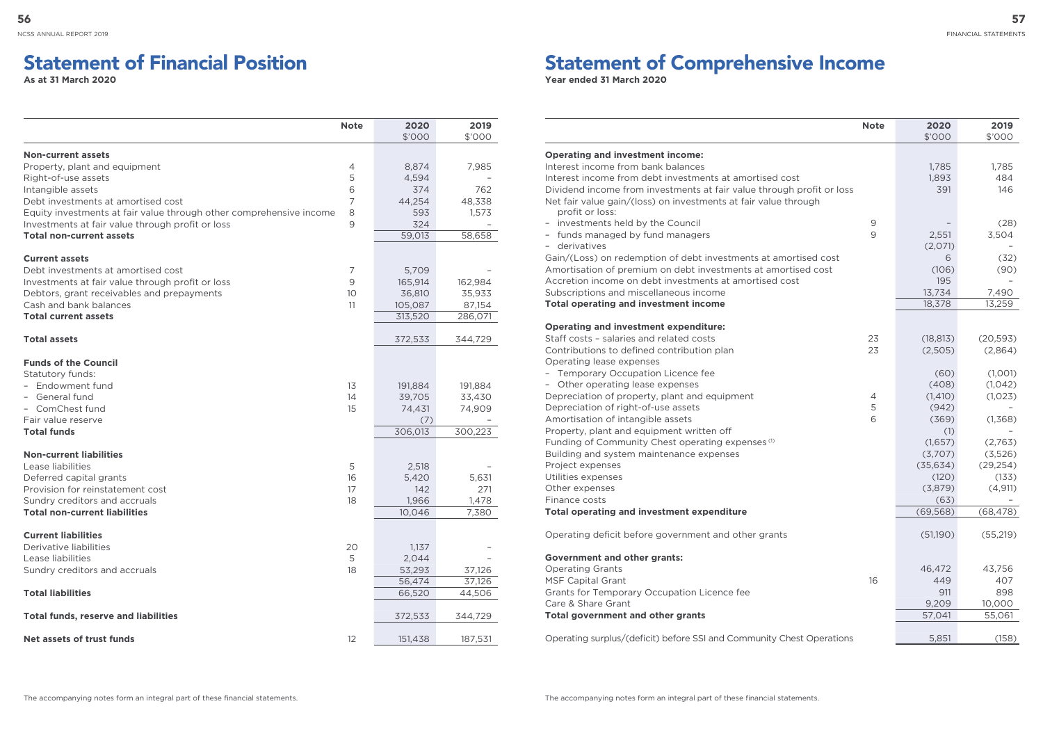# Statement of Comprehensive Income

**Year ended 31 March 2020**

# Statement of Financial Position

**As at 31 March 2020**

|                                                                     | <b>Note</b>    | 2020    | 2019    |
|---------------------------------------------------------------------|----------------|---------|---------|
|                                                                     |                | \$'000  | \$'000  |
| <b>Non-current assets</b>                                           |                |         |         |
| Property, plant and equipment                                       | $\overline{4}$ | 8,874   | 7,985   |
| Right-of-use assets                                                 | 5              | 4,594   |         |
| Intangible assets                                                   | 6              | 374     | 762     |
| Debt investments at amortised cost                                  | 7              | 44,254  | 48,338  |
| Equity investments at fair value through other comprehensive income | 8              | 593     | 1,573   |
| Investments at fair value through profit or loss                    | 9              | 324     |         |
| <b>Total non-current assets</b>                                     |                | 59,013  | 58,658  |
|                                                                     |                |         |         |
| <b>Current assets</b>                                               |                |         |         |
| Debt investments at amortised cost                                  | $\overline{7}$ | 5,709   |         |
| Investments at fair value through profit or loss                    | 9              | 165,914 | 162,984 |
| Debtors, grant receivables and prepayments                          | 10             | 36,810  | 35,933  |
| Cash and bank balances                                              | 11             | 105,087 | 87,154  |
| <b>Total current assets</b>                                         |                | 313,520 | 286,071 |
|                                                                     |                |         |         |
| <b>Total assets</b>                                                 |                | 372,533 | 344,729 |
|                                                                     |                |         |         |
| <b>Funds of the Council</b>                                         |                |         |         |
| Statutory funds:                                                    |                |         |         |
| Endowment fund                                                      | 13             | 191,884 | 191,884 |
| General fund                                                        | 14             | 39,705  | 33,430  |
| ComChest fund                                                       | 15             | 74,431  | 74,909  |
| Fair value reserve                                                  |                | (7)     |         |
| <b>Total funds</b>                                                  |                | 306,013 | 300,223 |
| <b>Non-current liabilities</b>                                      |                |         |         |
| Lease liabilities                                                   | 5              | 2,518   |         |
| Deferred capital grants                                             | 16             | 5,420   | 5,631   |
| Provision for reinstatement cost                                    | 17             | 142     | 271     |
| Sundry creditors and accruals                                       | 18             | 1,966   | 1,478   |
| <b>Total non-current liabilities</b>                                |                | 10,046  | 7,380   |
|                                                                     |                |         |         |
| <b>Current liabilities</b>                                          |                |         |         |
| Derivative liabilities                                              | 20             | 1,137   |         |
| Lease liabilities                                                   | 5              | 2,044   |         |
| Sundry creditors and accruals                                       | 18             | 53,293  | 37,126  |
|                                                                     |                | 56,474  | 37,126  |
| <b>Total liabilities</b>                                            |                | 66,520  | 44,506  |
|                                                                     |                |         |         |
| <b>Total funds, reserve and liabilities</b>                         |                | 372,533 | 344,729 |
|                                                                     |                |         |         |
| Net assets of trust funds                                           | 12             | 151,438 | 187,531 |

Interest income from debt investments at amortised cost Dividend income from investments at fair value through Net fair value gain/(loss) on investments at fair value th profit or loss:

- investments held by the Council
- funds managed by fund managers
- derivatives (2,071) –

Gain/(Loss) on redemption of debt investments at amo Amortisation of premium on debt investments at amor Accretion income on debt investments at amortised cost Subscriptions and miscellaneous income **Total operating and investment income** 

Staff costs - salaries and related costs Contributions to defined contribution plan Operating lease expenses

- Temporary Occupation Licence fee - Other operating lease expenses Depreciation of property, plant and equipment Depreciation of right-of-use assets Amortisation of intangible assets Property, plant and equipment written off Funding of Community Chest operating expenses<sup>(1)</sup> Building and system maintenance expenses Project expenses Utilities expenses Other expenses Finance costs

**Total operating and investment expenditure** 

Operating deficit before government and other grants

|                  | <b>Note</b> | 2020      | 2019      |
|------------------|-------------|-----------|-----------|
|                  |             | \$'000    | \$'000    |
|                  |             |           |           |
|                  |             | 1,785     | 1,785     |
| ost              |             | 1,893     | 484       |
| h profit or loss |             | 391       | 146       |
| hrough           |             |           |           |
|                  |             |           |           |
|                  | 9           |           | (28)      |
|                  | 9           | 2,551     | 3,504     |
|                  |             | (2,071)   |           |
| ortised cost     |             | 6         | (32)      |
| tised cost       |             | (106)     | (90)      |
| ost              |             | 195       |           |
|                  |             | 13,734    | 7,490     |
|                  |             | 18,378    | 13,259    |
|                  |             |           |           |
|                  | 23          | (18, 813) | (20, 593) |
|                  | 23          | (2,505)   | (2,864)   |
|                  |             |           |           |
|                  |             | (60)      | (1,001)   |
|                  |             | (408)     | (1,042)   |
|                  | 4           | (1, 410)  | (1,023)   |
|                  | 5           | (942)     |           |
|                  | 6           | (369)     | (1, 368)  |
|                  |             | (1)       |           |
|                  |             | (1,657)   | (2,763)   |
|                  |             | (3,707)   | (3,526)   |
|                  |             | (35, 634) | (29, 254) |
|                  |             | (120)     | (133)     |
|                  |             | (3,879)   | (4, 911)  |
|                  |             | (63)      |           |
|                  |             | (69, 568) | (68, 478) |
|                  |             |           |           |
|                  |             | (51,190)  | (55, 219) |
|                  |             | 46,472    | 43,756    |
|                  | 16          | 449       | 407       |
|                  |             | 911       | 898       |
|                  |             | 9,209     | 10,000    |
|                  |             | 57,041    | 55,061    |
|                  |             |           |           |
| est Operations   |             | 5.851     | (158)     |

#### **Operating and investment income:**

Interest income from bank balances

#### **Operating and investment expenditure:**

### **Government and other grants:**

Operating Grants MSF Capital Grant Grants for Temporary Occupation Licence fee Care & Share Grant **Total government and other grants** 

Operating surplus/(deficit) before SSI and Community Chest Operating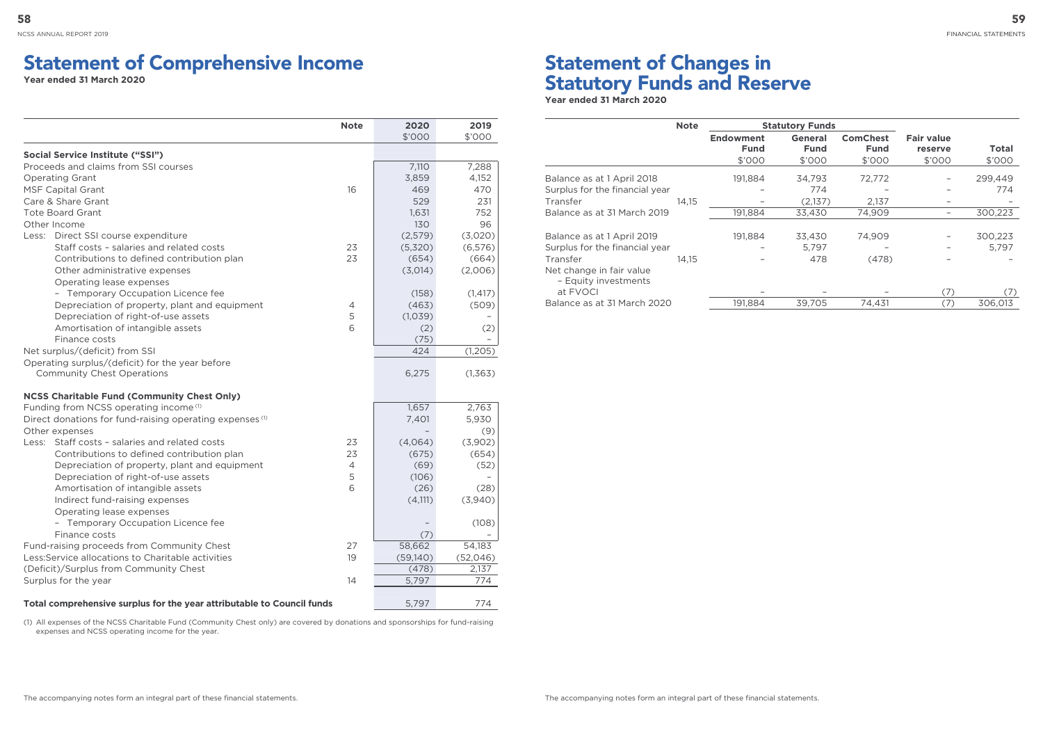# Statement of Changes in Statutory Funds and Reserve

**Year ended 31 March 2020**

# Statement of Comprehensive Income

**Year ended 31 March 2020**

|                                                                        | <b>Note</b>    | 2020     | 2019                     |
|------------------------------------------------------------------------|----------------|----------|--------------------------|
|                                                                        |                | \$'000   | \$'000                   |
| Social Service Institute ("SSI")                                       |                |          |                          |
| Proceeds and claims from SSI courses                                   |                | 7,110    | 7,288                    |
| <b>Operating Grant</b>                                                 |                | 3,859    | 4,152                    |
| <b>MSF Capital Grant</b>                                               | 16             | 469      | 470                      |
| Care & Share Grant                                                     |                | 529      | 231                      |
| <b>Tote Board Grant</b>                                                |                | 1,631    | 752                      |
| Other Income                                                           |                | 130      | 96                       |
| Less: Direct SSI course expenditure                                    |                | (2,579)  | (3,020)                  |
| Staff costs - salaries and related costs                               | 23             | (5,320)  | (6, 576)                 |
| Contributions to defined contribution plan                             | 23             | (654)    | (664)                    |
| Other administrative expenses                                          |                | (3,014)  | (2,006)                  |
| Operating lease expenses                                               |                |          |                          |
| - Temporary Occupation Licence fee                                     |                | (158)    | (1, 417)                 |
| Depreciation of property, plant and equipment                          | 4              | (463)    | (509)                    |
| Depreciation of right-of-use assets                                    | 5              | (1,039)  |                          |
| Amortisation of intangible assets                                      | 6              | (2)      | (2)                      |
| Finance costs                                                          |                | (75)     |                          |
| Net surplus/(deficit) from SSI                                         |                | 424      | (1, 205)                 |
| Operating surplus/(deficit) for the year before                        |                |          |                          |
| <b>Community Chest Operations</b>                                      |                | 6,275    | (1, 363)                 |
| <b>NCSS Charitable Fund (Community Chest Only)</b>                     |                |          |                          |
| Funding from NCSS operating income <sup>(1)</sup>                      |                | 1,657    | 2,763                    |
| Direct donations for fund-raising operating expenses <sup>(1)</sup>    |                | 7,401    | 5,930                    |
| Other expenses                                                         |                |          | (9)                      |
| Less: Staff costs - salaries and related costs                         | 23             | (4,064)  | (3,902)                  |
| Contributions to defined contribution plan                             | 23             | (675)    | (654)                    |
| Depreciation of property, plant and equipment                          | $\overline{4}$ | (69)     | (52)                     |
| Depreciation of right-of-use assets                                    | 5              | (106)    | $\overline{\phantom{m}}$ |
| Amortisation of intangible assets                                      | 6              | (26)     | (28)                     |
| Indirect fund-raising expenses                                         |                | (4, 111) | (3,940)                  |
| Operating lease expenses                                               |                |          |                          |
| - Temporary Occupation Licence fee                                     |                |          | (108)                    |
| Finance costs                                                          |                | (7)      |                          |
| Fund-raising proceeds from Community Chest                             | 27             | 58,662   | 54,183                   |
| Less: Service allocations to Charitable activities                     | 19             | (59,140) | (52,046)                 |
| (Deficit)/Surplus from Community Chest                                 |                | (478)    | 2,137                    |
| Surplus for the year                                                   | 14             | 5,797    | 774                      |
| Total comprehensive surplus for the year attributable to Council funds |                | 5,797    | 774                      |
|                                                                        |                |          |                          |

(1) All expenses of the NCSS Charitable Fund (Community Chest only) are covered by donations and sponsorships for fund-raising

expenses and NCSS operating income for the year.

|                                                                          | <b>Note</b> |                                    | <b>Statutory Funds</b>           |                                   |                                        |                  |
|--------------------------------------------------------------------------|-------------|------------------------------------|----------------------------------|-----------------------------------|----------------------------------------|------------------|
|                                                                          |             | <b>Endowment</b><br>Fund<br>\$'000 | General<br><b>Fund</b><br>\$'000 | <b>ComChest</b><br>Fund<br>\$'000 | <b>Fair value</b><br>reserve<br>\$'000 | Total<br>\$'000  |
| Balance as at 1 April 2018<br>Surplus for the financial year<br>Transfer | 14,15       | 191,884                            | 34.793<br>774<br>(2,137)         | 72,772<br>2,137                   |                                        | 299,449<br>774   |
| Balance as at 31 March 2019                                              |             | 191,884                            | 33,430                           | 74,909                            |                                        | 300,223          |
| Balance as at 1 April 2019<br>Surplus for the financial year             |             | 191,884                            | 33,430<br>5,797                  | 74,909                            |                                        | 300,223<br>5,797 |
| Transfer<br>Net change in fair value<br>- Equity investments<br>at FVOCI | 14,15       |                                    | 478                              | (478)                             | (7)                                    | $($ / $)$        |
| Balance as at 31 March 2020                                              |             | 191,884                            | 39.705                           | 74.431                            | (7)                                    | 306.013          |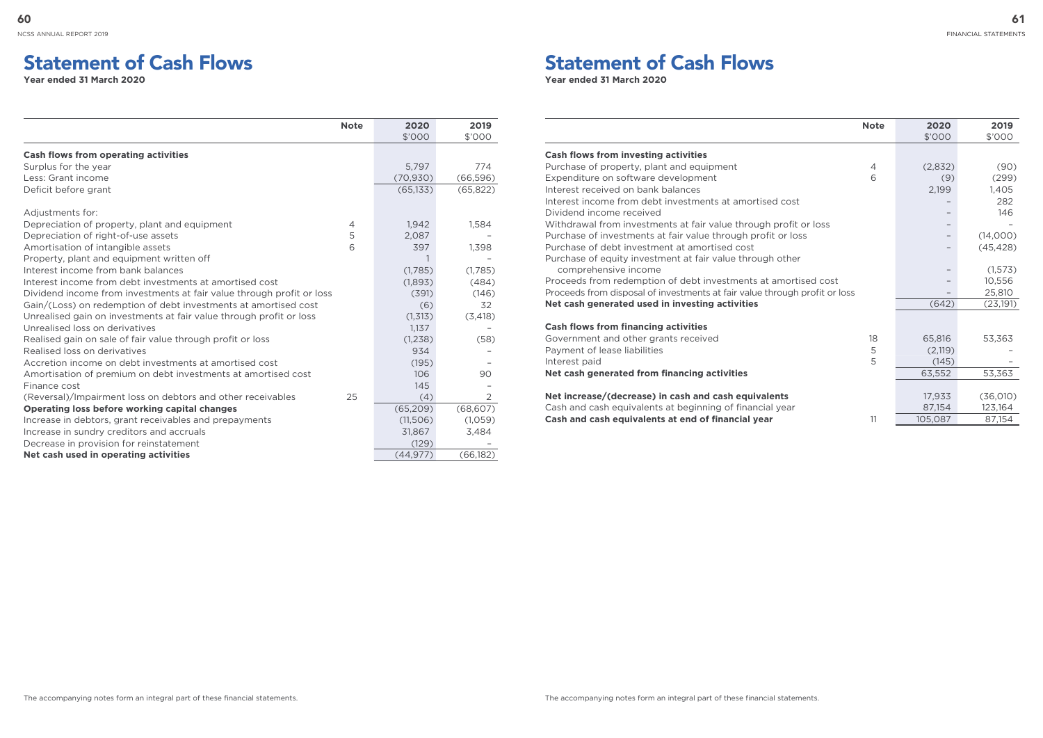# Statement of Cash Flows

**Year ended 31 March 2020**

# Statement of Cash Flows

**Year ended 31 March 2020**

|                                                                       | <b>Note</b>    | 2020<br>\$'000 | 2019<br>\$'000 |
|-----------------------------------------------------------------------|----------------|----------------|----------------|
| <b>Cash flows from operating activities</b>                           |                |                |                |
| Surplus for the year                                                  |                | 5,797          | 774            |
| Less: Grant income                                                    |                |                |                |
|                                                                       |                | (70, 930)      | (66, 596)      |
| Deficit before grant                                                  |                | (65, 133)      | (65, 822)      |
| Adjustments for:                                                      |                |                |                |
| Depreciation of property, plant and equipment                         | $\overline{4}$ | 1,942          | 1,584          |
| Depreciation of right-of-use assets                                   | 5              | 2,087          |                |
| Amortisation of intangible assets                                     | 6              | 397            | 1,398          |
| Property, plant and equipment written off                             |                |                |                |
| Interest income from bank balances                                    |                | (1,785)        | (1,785)        |
| Interest income from debt investments at amortised cost               |                | (1,893)        | (484)          |
| Dividend income from investments at fair value through profit or loss |                | (391)          | (146)          |
| Gain/(Loss) on redemption of debt investments at amortised cost       |                | (6)            | 32             |
| Unrealised gain on investments at fair value through profit or loss   |                | (1,313)        | (3, 418)       |
| Unrealised loss on derivatives                                        |                | 1,137          |                |
| Realised gain on sale of fair value through profit or loss            |                | (1,238)        | (58)           |
| Realised loss on derivatives                                          |                | 934            |                |
| Accretion income on debt investments at amortised cost                |                | (195)          |                |
| Amortisation of premium on debt investments at amortised cost         |                | 106            | 90             |
| Finance cost                                                          |                | 145            |                |
| (Reversal)/Impairment loss on debtors and other receivables           | 25             | (4)            | 2              |
| <b>Operating loss before working capital changes</b>                  |                | (65,209)       | (68, 607)      |
| Increase in debtors, grant receivables and prepayments                |                | (11,506)       | (1,059)        |
| Increase in sundry creditors and accruals                             |                | 31,867         | 3,484          |
| Decrease in provision for reinstatement                               |                | (129)          |                |
| Net cash used in operating activities                                 |                | (44, 977)      | (66, 182)      |

|                                                                                   | <b>Note</b>    | 2020    | 2019      |
|-----------------------------------------------------------------------------------|----------------|---------|-----------|
|                                                                                   |                | \$'000  | \$'000    |
| <b>Cash flows from investing activities</b>                                       |                |         |           |
| Purchase of property, plant and equipment                                         | $\overline{4}$ | (2,832) | (90)      |
| Expenditure on software development                                               | 6              | (9)     | (299)     |
| Interest received on bank balances                                                |                | 2,199   | 1,405     |
| Interest income from debt investments at amortised cost                           |                |         | 282       |
| Dividend income received                                                          |                |         | 146       |
| Withdrawal from investments at fair value through profit or loss                  |                |         |           |
| Purchase of investments at fair value through profit or loss                      |                |         | (14,000)  |
| Purchase of debt investment at amortised cost                                     |                |         | (45, 428) |
| Purchase of equity investment at fair value through other<br>comprehensive income |                |         | (1, 573)  |
| Proceeds from redemption of debt investments at amortised cost                    |                |         | 10,556    |
| Proceeds from disposal of investments at fair value through profit or loss        |                |         | 25,810    |
| Net cash generated used in investing activities                                   |                | (642)   | (23, 191) |
| <b>Cash flows from financing activities</b>                                       |                |         |           |
| Government and other grants received                                              | 18             | 65,816  | 53,363    |
| Payment of lease liabilities                                                      | 5              | (2,119) |           |
| Interest paid                                                                     | 5              | (145)   |           |
| Net cash generated from financing activities                                      |                | 63,552  | 53,363    |
|                                                                                   |                |         |           |
| Net increase/(decrease) in cash and cash equivalents                              |                | 17,933  | (36,010)  |
| Cash and cash equivalents at beginning of financial year                          |                | 87,154  | 123,164   |
| Cash and cash equivalents at end of financial year                                | 11             | 105,087 | 87,154    |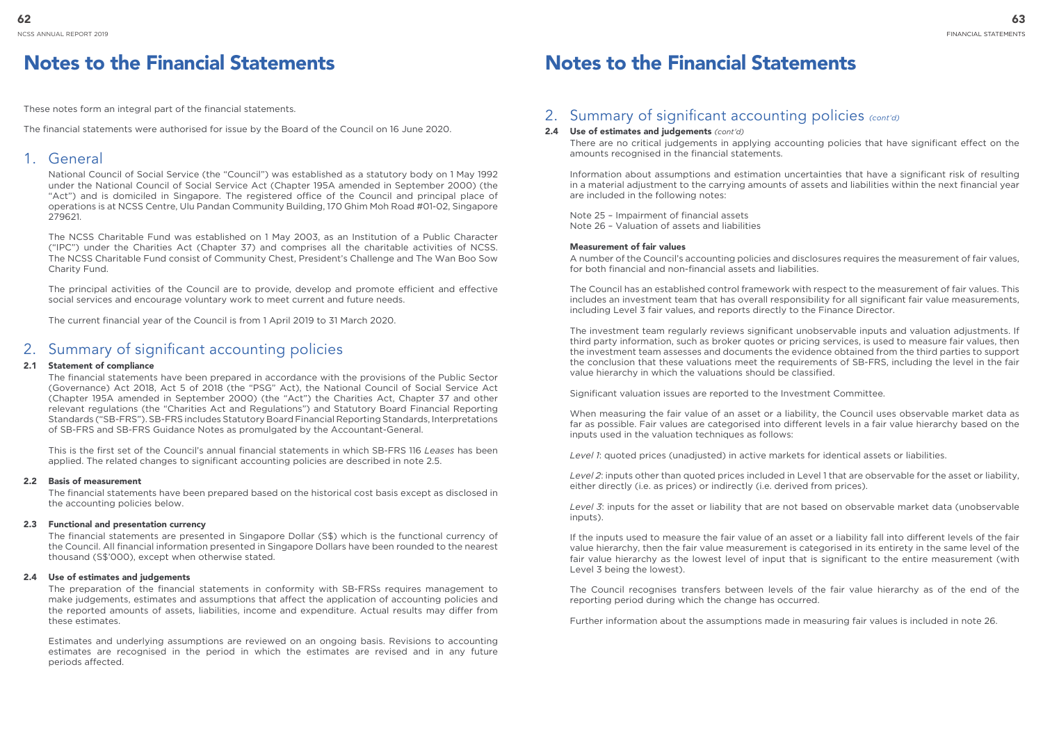These notes form an integral part of the financial statements.

The financial statements were authorised for issue by the Board of the Council on 16 June 2020.

### 1. General

National Council of Social Service (the "Council") was established as a statutory body on 1 May 1992 under the National Council of Social Service Act (Chapter 195A amended in September 2000) (the "Act") and is domiciled in Singapore. The registered office of the Council and principal place of operations is at NCSS Centre, Ulu Pandan Community Building, 170 Ghim Moh Road #01-02, Singapore 279621.

The NCSS Charitable Fund was established on 1 May 2003, as an Institution of a Public Character ("IPC") under the Charities Act (Chapter 37) and comprises all the charitable activities of NCSS. The NCSS Charitable Fund consist of Community Chest, President's Challenge and The Wan Boo Sow Charity Fund.

The principal activities of the Council are to provide, develop and promote efficient and effective social services and encourage voluntary work to meet current and future needs.

The current financial year of the Council is from 1 April 2019 to 31 March 2020.

### 2. Summary of significant accounting policies

#### 2.1 Statement of compliance

The financial statements have been prepared in accordance with the provisions of the Public Sector (Governance) Act 2018, Act 5 of 2018 (the "PSG" Act), the National Council of Social Service Act (Chapter 195A amended in September 2000) (the "Act") the Charities Act, Chapter 37 and other relevant regulations (the "Charities Act and Regulations") and Statutory Board Financial Reporting Standards ("SB-FRS"). SB-FRS includes Statutory Board Financial Reporting Standards, Interpretations of SB-FRS and SB-FRS Guidance Notes as promulgated by the Accountant-General.

This is the first set of the Council's annual financial statements in which SB-FRS 116 *Leases* has been applied. The related changes to significant accounting policies are described in note 2.5.

#### 2.2 Basis of measurement

The financial statements have been prepared based on the historical cost basis except as disclosed in the accounting policies below.

#### 2.3 Functional and presentation currency

The financial statements are presented in Singapore Dollar (S\$) which is the functional currency of the Council. All financial information presented in Singapore Dollars have been rounded to the nearest thousand (S\$'000), except when otherwise stated.

#### 2.4 Use of estimates and judgements

The preparation of the financial statements in conformity with SB-FRSs requires management to make judgements, estimates and assumptions that affect the application of accounting policies and the reported amounts of assets, liabilities, income and expenditure. Actual results may differ from these estimates.

Estimates and underlying assumptions are reviewed on an ongoing basis. Revisions to accounting estimates are recognised in the period in which the estimates are revised and in any future periods affected.

## 2. Summary of significant accounting policies *(cont'd)*

### 2.4 Use of estimates and judgements *(cont'd)*

There are no critical judgements in applying accounting policies that have significant effect on the amounts recognised in the financial statements.

Information about assumptions and estimation uncertainties that have a significant risk of resulting in a material adjustment to the carrying amounts of assets and liabilities within the next financial year are included in the following notes:

Note 25 – Impairment of financial assets Note 26 – Valuation of assets and liabilities

#### Measurement of fair values

A number of the Council's accounting policies and disclosures requires the measurement of fair values, for both financial and non-financial assets and liabilities.

The Council has an established control framework with respect to the measurement of fair values. This includes an investment team that has overall responsibility for all significant fair value measurements, including Level 3 fair values, and reports directly to the Finance Director.

The investment team regularly reviews significant unobservable inputs and valuation adjustments. If third party information, such as broker quotes or pricing services, is used to measure fair values, then the investment team assesses and documents the evidence obtained from the third parties to support the conclusion that these valuations meet the requirements of SB-FRS, including the level in the fair value hierarchy in which the valuations should be classified.

Significant valuation issues are reported to the Investment Committee.

When measuring the fair value of an asset or a liability, the Council uses observable market data as far as possible. Fair values are categorised into different levels in a fair value hierarchy based on the inputs used in the valuation techniques as follows:

*Level 1*: quoted prices (unadjusted) in active markets for identical assets or liabilities.

*Level 2*: inputs other than quoted prices included in Level 1 that are observable for the asset or liability, either directly (i.e. as prices) or indirectly (i.e. derived from prices).

*Level 3*: inputs for the asset or liability that are not based on observable market data (unobservable inputs).

If the inputs used to measure the fair value of an asset or a liability fall into different levels of the fair value hierarchy, then the fair value measurement is categorised in its entirety in the same level of the fair value hierarchy as the lowest level of input that is significant to the entire measurement (with Level 3 being the lowest).

The Council recognises transfers between levels of the fair value hierarchy as of the end of the reporting period during which the change has occurred.

Further information about the assumptions made in measuring fair values is included in note 26.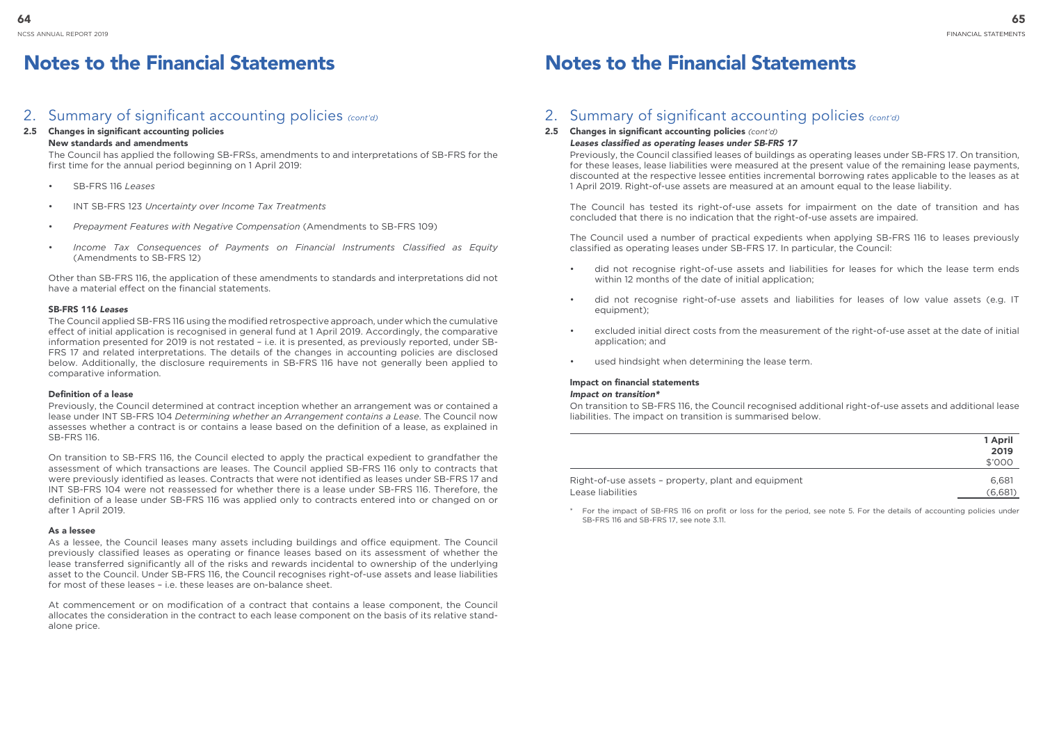## 2. Summary of significant accounting policies *(cont'd)*

### 2.5 Changes in significant accounting policies

### New standards and amendments

The Council has applied the following SB-FRSs, amendments to and interpretations of SB-FRS for the first time for the annual period beginning on 1 April 2019:

- SB-FRS 116 *Leases*
- INT SB-FRS 123 *Uncertainty over Income Tax Treatments*
- *Prepayment Features with Negative Compensation* (Amendments to SB-FRS 109)
- *Income Tax Consequences of Payments on Financial Instruments Classified as Equity*  (Amendments to SB-FRS 12)

Other than SB-FRS 116, the application of these amendments to standards and interpretations did not have a material effect on the financial statements.

#### SB-FRS 116 *Leases*

The Council applied SB-FRS 116 using the modified retrospective approach, under which the cumulative effect of initial application is recognised in general fund at 1 April 2019. Accordingly, the comparative information presented for 2019 is not restated – i.e. it is presented, as previously reported, under SB-FRS 17 and related interpretations. The details of the changes in accounting policies are disclosed below. Additionally, the disclosure requirements in SB-FRS 116 have not generally been applied to comparative information.

#### Definition of a lease

Previously, the Council determined at contract inception whether an arrangement was or contained a lease under INT SB-FRS 104 *Determining whether an Arrangement contains a Lease*. The Council now assesses whether a contract is or contains a lease based on the definition of a lease, as explained in SB-FRS 116.

On transition to SB-FRS 116, the Council elected to apply the practical expedient to grandfather the assessment of which transactions are leases. The Council applied SB-FRS 116 only to contracts that were previously identified as leases. Contracts that were not identified as leases under SB-FRS 17 and INT SB-FRS 104 were not reassessed for whether there is a lease under SB-FRS 116. Therefore, the definition of a lease under SB-FRS 116 was applied only to contracts entered into or changed on or after 1 April 2019.

#### As a lessee

As a lessee, the Council leases many assets including buildings and office equipment. The Council previously classified leases as operating or finance leases based on its assessment of whether the lease transferred significantly all of the risks and rewards incidental to ownership of the underlying asset to the Council. Under SB-FRS 116, the Council recognises right-of-use assets and lease liabilities for most of these leases – i.e. these leases are on-balance sheet.

At commencement or on modification of a contract that contains a lease component, the Council allocates the consideration in the contract to each lease component on the basis of its relative standalone price.

## 2. Summary of significant accounting policies *(cont'd)*

2.5 Changes in significant accounting policies *(cont'd)* Leases classified as operating leases under SB-FRS 17 1 April 2019. Right-of-use assets are measured at an amount equal to the lease liability.

Previously, the Council classified leases of buildings as operating leases under SB-FRS 17. On transition, for these leases, lease liabilities were measured at the present value of the remaining lease payments, discounted at the respective lessee entities incremental borrowing rates applicable to the leases as at

The Council has tested its right-of-use assets for impairment on the date of transition and has concluded that there is no indication that the right-of-use assets are impaired.

The Council used a number of practical expedients when applying SB-FRS 116 to leases previously classified as operating leases under SB-FRS 17. In particular, the Council:

- within 12 months of the date of initial application:
- equipment);
- application; and
- used hindsight when determining the lease term.

• did not recognise right-of-use assets and liabilities for leases for which the lease term ends

• did not recognise right-of-use assets and liabilities for leases of low value assets (e.g. IT

• excluded initial direct costs from the measurement of the right-of-use asset at the date of initial

### Impact on financial statements *Impact on transition\**

On transition to SB-FRS 116, the Council recognised additional right-of-use assets and additional lease liabilities. The impact on transition is summarised below.

Right-of-use assets - property, plant and equipment Lease liabilities

|     | 1 April<br>2019  |
|-----|------------------|
|     | \$'000           |
| ent | 6,681<br>(6,681) |

\* For the impact of SB-FRS 116 on profit or loss for the period, see note 5. For the details of accounting policies under

SB-FRS 116 and SB-FRS 17, see note 3.11.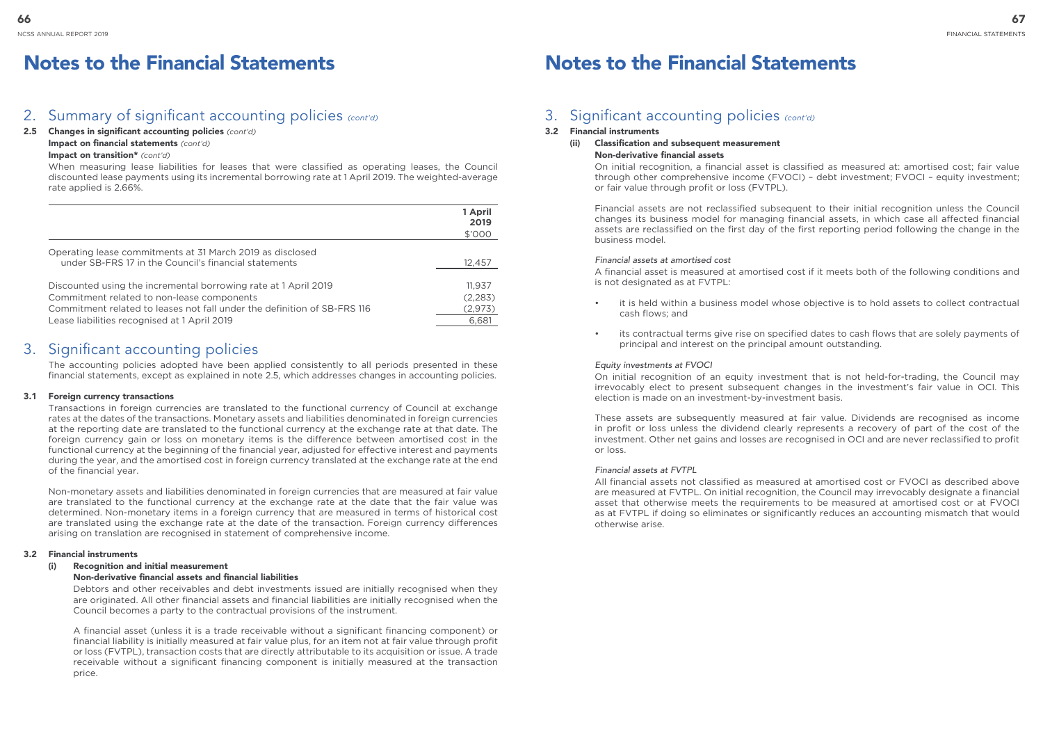## 2. Summary of significant accounting policies *(cont'd)*

#### 2.5 Changes in significant accounting policies *(cont'd)*

Impact on financial statements *(cont'd)*

#### Impact on transition\* *(cont'd)*

When measuring lease liabilities for leases that were classified as operating leases, the Council discounted lease payments using its incremental borrowing rate at 1 April 2019. The weighted-average rate applied is 2.66%.

|                                                                                                                                                                                                                                           | 1 April<br>2019                        |
|-------------------------------------------------------------------------------------------------------------------------------------------------------------------------------------------------------------------------------------------|----------------------------------------|
|                                                                                                                                                                                                                                           | \$'000                                 |
| Operating lease commitments at 31 March 2019 as disclosed<br>under SB-FRS 17 in the Council's financial statements                                                                                                                        | 12,457                                 |
| Discounted using the incremental borrowing rate at 1 April 2019<br>Commitment related to non-lease components<br>Commitment related to leases not fall under the definition of SB-FRS 116<br>Lease liabilities recognised at 1 April 2019 | 11,937<br>(2,283)<br>(2, 973)<br>6,681 |

### 3. Significant accounting policies

The accounting policies adopted have been applied consistently to all periods presented in these financial statements, except as explained in note 2.5, which addresses changes in accounting policies.

#### 3.1 Foreign currency transactions

Transactions in foreign currencies are translated to the functional currency of Council at exchange rates at the dates of the transactions. Monetary assets and liabilities denominated in foreign currencies at the reporting date are translated to the functional currency at the exchange rate at that date. The foreign currency gain or loss on monetary items is the difference between amortised cost in the functional currency at the beginning of the financial year, adjusted for effective interest and payments during the year, and the amortised cost in foreign currency translated at the exchange rate at the end of the financial year.

### (ii) Classification and subsequent measurement Non-derivative financial assets

Non-monetary assets and liabilities denominated in foreign currencies that are measured at fair value are translated to the functional currency at the exchange rate at the date that the fair value was determined. Non-monetary items in a foreign currency that are measured in terms of historical cost are translated using the exchange rate at the date of the transaction. Foreign currency differences arising on translation are recognised in statement of comprehensive income.

### 3.2 Financial instruments

### (i) Recognition and initial measurement

#### Non-derivative financial assets and financial liabilities

Debtors and other receivables and debt investments issued are initially recognised when they are originated. All other financial assets and financial liabilities are initially recognised when the Council becomes a party to the contractual provisions of the instrument.

A financial asset (unless it is a trade receivable without a significant financing component) or financial liability is initially measured at fair value plus, for an item not at fair value through profit or loss (FVTPL), transaction costs that are directly attributable to its acquisition or issue. A trade receivable without a significant financing component is initially measured at the transaction price.

### 3. Significant accounting policies *(cont'd)*

### 3.2 Financial instruments

On initial recognition, a financial asset is classified as measured at: amortised cost; fair value through other comprehensive income (FVOCI) – debt investment; FVOCI – equity investment; or fair value through profit or loss (FVTPL).

Financial assets are not reclassified subsequent to their initial recognition unless the Council changes its business model for managing financial assets, in which case all affected financial assets are reclassified on the first day of the first reporting period following the change in the business model.

#### *Financial assets at amortised cost*

A financial asset is measured at amortised cost if it meets both of the following conditions and is not designated as at FVTPL:

• it is held within a business model whose objective is to hold assets to collect contractual

• its contractual terms give rise on specified dates to cash flows that are solely payments of

- cash flows; and
- principal and interest on the principal amount outstanding.

#### *Equity investments at FVOCI*

On initial recognition of an equity investment that is not held-for-trading, the Council may irrevocably elect to present subsequent changes in the investment's fair value in OCI. This election is made on an investment-by-investment basis.

These assets are subsequently measured at fair value. Dividends are recognised as income in profit or loss unless the dividend clearly represents a recovery of part of the cost of the investment. Other net gains and losses are recognised in OCI and are never reclassified to profit or loss.

#### *Financial assets at FVTPL*

All financial assets not classified as measured at amortised cost or FVOCI as described above are measured at FVTPL. On initial recognition, the Council may irrevocably designate a financial asset that otherwise meets the requirements to be measured at amortised cost or at FVOCI as at FVTPL if doing so eliminates or significantly reduces an accounting mismatch that would otherwise arise.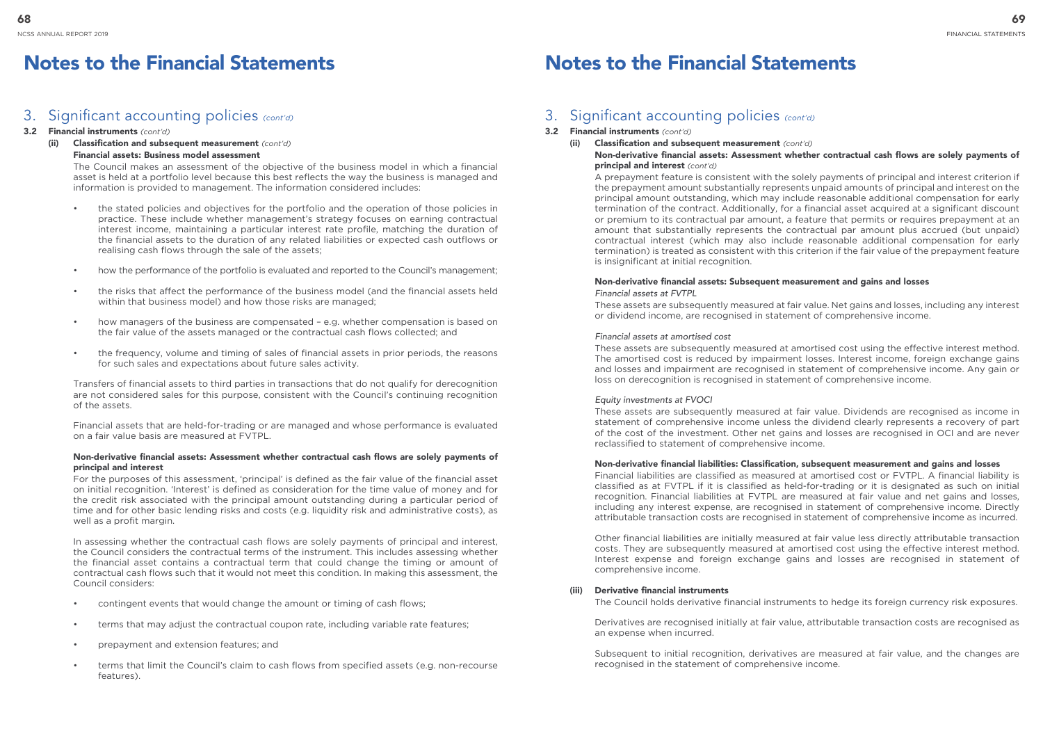### 3. Significant accounting policies *(cont'd)*

#### 3.2 Financial instruments *(cont'd)*

(ii) Classification and subsequent measurement *(cont'd)* Financial assets: Business model assessment

> The Council makes an assessment of the objective of the business model in which a financial asset is held at a portfolio level because this best reflects the way the business is managed and information is provided to management. The information considered includes:

- the stated policies and objectives for the portfolio and the operation of those policies in practice. These include whether management's strategy focuses on earning contractual interest income, maintaining a particular interest rate profile, matching the duration of the financial assets to the duration of any related liabilities or expected cash outflows or realising cash flows through the sale of the assets;
- how the performance of the portfolio is evaluated and reported to the Council's management;
- the risks that affect the performance of the business model (and the financial assets held within that business model) and how those risks are managed;
- how managers of the business are compensated e.g. whether compensation is based on the fair value of the assets managed or the contractual cash flows collected; and
- the frequency, volume and timing of sales of financial assets in prior periods, the reasons for such sales and expectations about future sales activity.

Transfers of financial assets to third parties in transactions that do not qualify for derecognition are not considered sales for this purpose, consistent with the Council's continuing recognition of the assets.

Financial assets that are held-for-trading or are managed and whose performance is evaluated on a fair value basis are measured at FVTPL.

#### Non-derivative financial assets: Assessment whether contractual cash flows are solely payments of principal and interest

For the purposes of this assessment, 'principal' is defined as the fair value of the financial asset on initial recognition. 'Interest' is defined as consideration for the time value of money and for the credit risk associated with the principal amount outstanding during a particular period of time and for other basic lending risks and costs (e.g. liquidity risk and administrative costs), as well as a profit margin.

In assessing whether the contractual cash flows are solely payments of principal and interest, the Council considers the contractual terms of the instrument. This includes assessing whether the financial asset contains a contractual term that could change the timing or amount of contractual cash flows such that it would not meet this condition. In making this assessment, the Council considers:

- contingent events that would change the amount or timing of cash flows;
- terms that may adjust the contractual coupon rate, including variable rate features;
- prepayment and extension features; and
- terms that limit the Council's claim to cash flows from specified assets (e.g. non-recourse features).

## 3. Significant accounting policies *(cont'd)*

#### 3.2 Financial instruments *(cont'd)*

(ii) Classification and subsequent measurement *(cont'd)* principal and interest *(cont'd)*

# Non-derivative financial assets: Assessment whether contractual cash flows are solely payments of

A prepayment feature is consistent with the solely payments of principal and interest criterion if the prepayment amount substantially represents unpaid amounts of principal and interest on the principal amount outstanding, which may include reasonable additional compensation for early termination of the contract. Additionally, for a financial asset acquired at a significant discount or premium to its contractual par amount, a feature that permits or requires prepayment at an amount that substantially represents the contractual par amount plus accrued (but unpaid) contractual interest (which may also include reasonable additional compensation for early termination) is treated as consistent with this criterion if the fair value of the prepayment feature is insignificant at initial recognition.

### Non-derivative financial assets: Subsequent measurement and gains and losses *Financial assets at FVTPL*

These assets are subsequently measured at fair value. Net gains and losses, including any interest or dividend income, are recognised in statement of comprehensive income.

#### *Financial assets at amortised cost*

These assets are subsequently measured at amortised cost using the effective interest method. The amortised cost is reduced by impairment losses. Interest income, foreign exchange gains and losses and impairment are recognised in statement of comprehensive income. Any gain or loss on derecognition is recognised in statement of comprehensive income.

#### *Equity investments at FVOCI*

These assets are subsequently measured at fair value. Dividends are recognised as income in statement of comprehensive income unless the dividend clearly represents a recovery of part of the cost of the investment. Other net gains and losses are recognised in OCI and are never reclassified to statement of comprehensive income.

#### Non-derivative financial liabilities: Classification, subsequent measurement and gains and losses

Financial liabilities are classified as measured at amortised cost or FVTPL. A financial liability is classified as at FVTPL if it is classified as held-for-trading or it is designated as such on initial recognition. Financial liabilities at FVTPL are measured at fair value and net gains and losses, including any interest expense, are recognised in statement of comprehensive income. Directly attributable transaction costs are recognised in statement of comprehensive income as incurred.

Other financial liabilities are initially measured at fair value less directly attributable transaction costs. They are subsequently measured at amortised cost using the effective interest method. Interest expense and foreign exchange gains and losses are recognised in statement of comprehensive income.

#### (iii) Derivative financial instruments

The Council holds derivative financial instruments to hedge its foreign currency risk exposures.

Derivatives are recognised initially at fair value, attributable transaction costs are recognised as an expense when incurred.

Subsequent to initial recognition, derivatives are measured at fair value, and the changes are recognised in the statement of comprehensive income.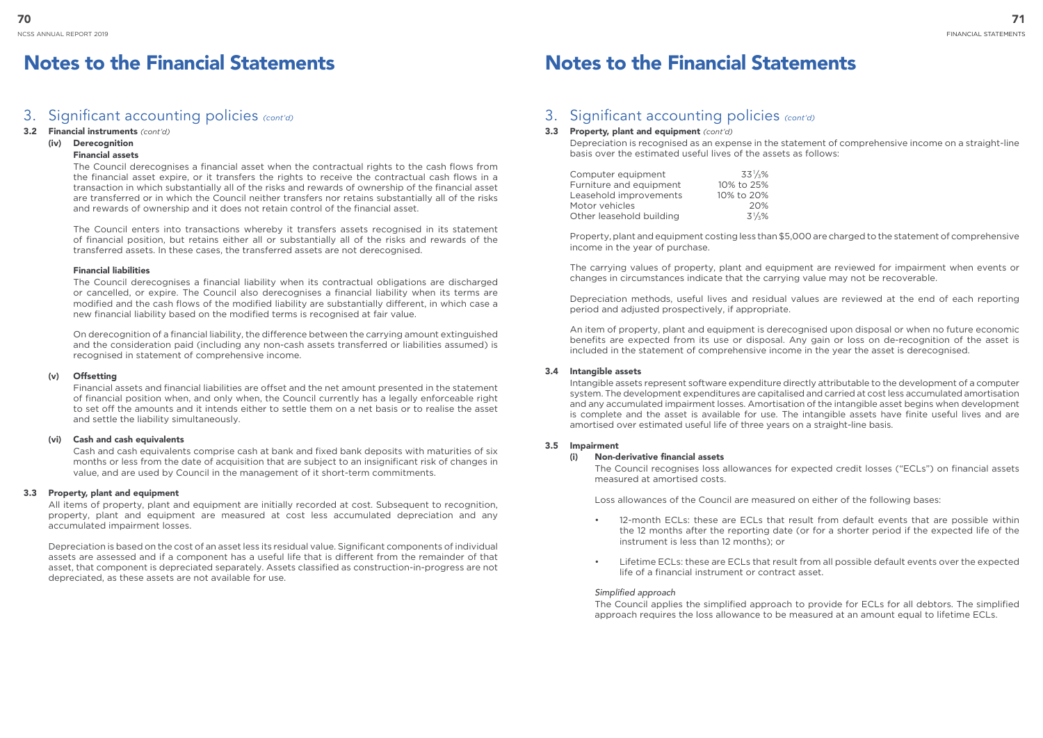## 3. Significant accounting policies *(cont'd)*

### 3.2 Financial instruments *(cont'd)*

(iv) Derecognition

#### Financial assets

The Council derecognises a financial asset when the contractual rights to the cash flows from the financial asset expire, or it transfers the rights to receive the contractual cash flows in a transaction in which substantially all of the risks and rewards of ownership of the financial asset are transferred or in which the Council neither transfers nor retains substantially all of the risks and rewards of ownership and it does not retain control of the financial asset.

The Council enters into transactions whereby it transfers assets recognised in its statement of financial position, but retains either all or substantially all of the risks and rewards of the transferred assets. In these cases, the transferred assets are not derecognised.

#### Financial liabilities

The Council derecognises a financial liability when its contractual obligations are discharged or cancelled, or expire. The Council also derecognises a financial liability when its terms are modified and the cash flows of the modified liability are substantially different, in which case a new financial liability based on the modified terms is recognised at fair value.

All items of property, plant and equipment are initially recorded at cost. Subsequent to recognition, property, plant and equipment are measured at cost less accumulated depreciation and any accumulated impairment losses.

On derecognition of a financial liability, the difference between the carrying amount extinguished and the consideration paid (including any non-cash assets transferred or liabilities assumed) is recognised in statement of comprehensive income.

#### (v) Offsetting

Financial assets and financial liabilities are offset and the net amount presented in the statement of financial position when, and only when, the Council currently has a legally enforceable right to set off the amounts and it intends either to settle them on a net basis or to realise the asset and settle the liability simultaneously.

#### (vi) Cash and cash equivalents

Cash and cash equivalents comprise cash at bank and fixed bank deposits with maturities of six months or less from the date of acquisition that are subject to an insignificant risk of changes in value, and are used by Council in the management of it short-term commitments.

#### 3.3 Property, plant and equipment

12-month ECLs: these are ECLs that result from default events that are possible within the 12 months after the reporting date (or for a shorter period if the expected life of the

Depreciation is based on the cost of an asset less its residual value. Significant components of individual assets are assessed and if a component has a useful life that is different from the remainder of that asset, that component is depreciated separately. Assets classified as construction-in-progress are not depreciated, as these assets are not available for use.

## 3. Significant accounting policies *(cont'd)*

### 3.3 Property, plant and equipment *(cont'd)*

Depreciation is recognised as an expense in the statement of comprehensive income on a straight-line basis over the estimated useful lives of the assets as follows:

| Computer equipment       | $33\frac{1}{3}\%$ |
|--------------------------|-------------------|
| Furniture and equipment  | 10% to 25%        |
| Leasehold improvements   | 10% to 20%        |
| Motor vehicles           | 20%               |
| Other leasehold building | $3\frac{1}{3}\%$  |

Property, plant and equipment costing less than \$5,000 are charged to the statement of comprehensive income in the year of purchase.

The carrying values of property, plant and equipment are reviewed for impairment when events or changes in circumstances indicate that the carrying value may not be recoverable.

Depreciation methods, useful lives and residual values are reviewed at the end of each reporting period and adjusted prospectively, if appropriate.

An item of property, plant and equipment is derecognised upon disposal or when no future economic benefits are expected from its use or disposal. Any gain or loss on de-recognition of the asset is included in the statement of comprehensive income in the year the asset is derecognised.

### 3.4 Intangible assets

Intangible assets represent software expenditure directly attributable to the development of a computer system. The development expenditures are capitalised and carried at cost less accumulated amortisation and any accumulated impairment losses. Amortisation of the intangible asset begins when development is complete and the asset is available for use. The intangible assets have finite useful lives and are amortised over estimated useful life of three years on a straight-line basis.

### 3.5 Impairment

### (i) Non-derivative financial assets

The Council recognises loss allowances for expected credit losses ("ECLs") on financial assets measured at amortised costs.

Loss allowances of the Council are measured on either of the following bases:

• Lifetime ECLs: these are ECLs that result from all possible default events over the expected

- instrument is less than 12 months); or
- life of a financial instrument or contract asset.

### Simplified approach

The Council applies the simplified approach to provide for ECLs for all debtors. The simplified approach requires the loss allowance to be measured at an amount equal to lifetime ECLs.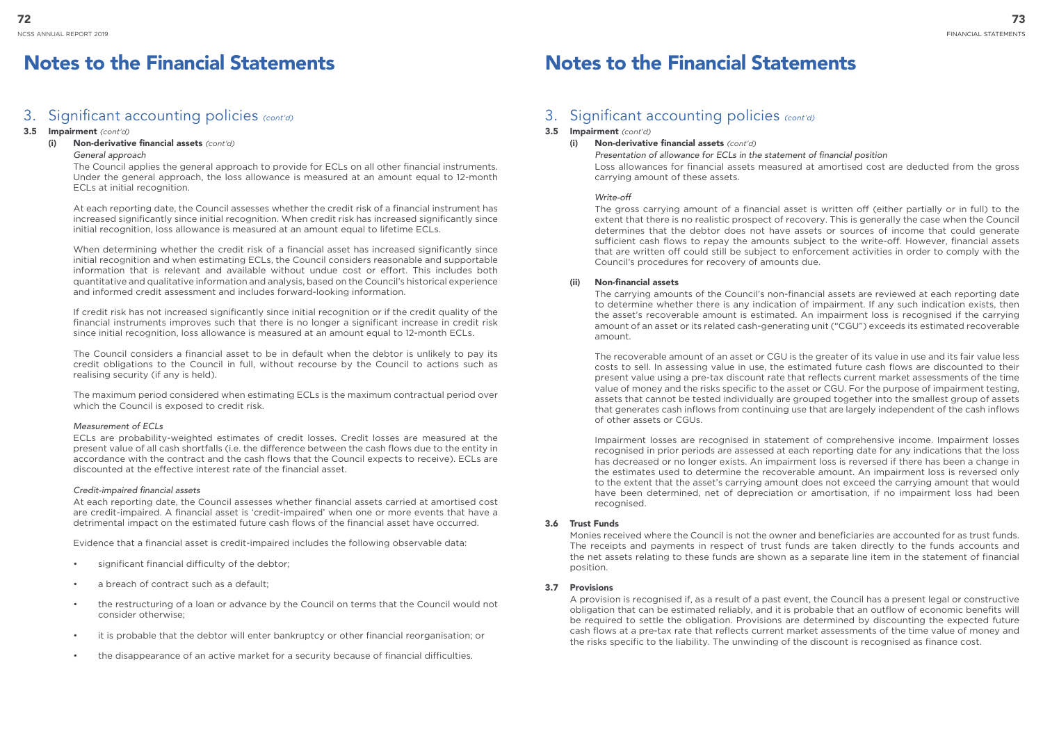## 3. Significant accounting policies *(cont'd)*

#### 3.5 Impairment *(cont'd)*

#### (i) Non-derivative financial assets *(cont'd)*

#### General approach

The Council applies the general approach to provide for ECLs on all other financial instruments. Under the general approach, the loss allowance is measured at an amount equal to 12-month ECLs at initial recognition.

At each reporting date, the Council assesses whether the credit risk of a financial instrument has increased significantly since initial recognition. When credit risk has increased significantly since initial recognition, loss allowance is measured at an amount equal to lifetime ECLs.

When determining whether the credit risk of a financial asset has increased significantly since initial recognition and when estimating ECLs, the Council considers reasonable and supportable information that is relevant and available without undue cost or effort. This includes both quantitative and qualitative information and analysis, based on the Council's historical experience and informed credit assessment and includes forward-looking information.

If credit risk has not increased significantly since initial recognition or if the credit quality of the financial instruments improves such that there is no longer a significant increase in credit risk since initial recognition, loss allowance is measured at an amount equal to 12-month ECLs.

- significant financial difficulty of the debtor;
- a breach of contract such as a default;
- the restructuring of a loan or advance by the Council on terms that the Council would not consider otherwise;
- it is probable that the debtor will enter bankruptcy or other financial reorganisation; or
- the disappearance of an active market for a security because of financial difficulties.

The Council considers a financial asset to be in default when the debtor is unlikely to pay its credit obligations to the Council in full, without recourse by the Council to actions such as realising security (if any is held).

The maximum period considered when estimating ECLs is the maximum contractual period over which the Council is exposed to credit risk.

#### *Measurement of ECLs*

ECLs are probability-weighted estimates of credit losses. Credit losses are measured at the present value of all cash shortfalls (i.e. the difference between the cash flows due to the entity in accordance with the contract and the cash flows that the Council expects to receive). ECLs are discounted at the effective interest rate of the financial asset.

#### Credit-impaired financial assets

At each reporting date, the Council assesses whether financial assets carried at amortised cost are credit-impaired. A financial asset is 'credit-impaired' when one or more events that have a detrimental impact on the estimated future cash flows of the financial asset have occurred.

Evidence that a financial asset is credit-impaired includes the following observable data:

### 3. Significant accounting policies *(cont'd)*

#### 3.5 Impairment *(cont'd)*

(i) Non-derivative financial assets *(cont'd)* Presentation of allowance for ECLs in the statement of financial position carrying amount of these assets.

# Loss allowances for financial assets measured at amortised cost are deducted from the gross

#### *Write-off*

The gross carrying amount of a financial asset is written off (either partially or in full) to the extent that there is no realistic prospect of recovery. This is generally the case when the Council determines that the debtor does not have assets or sources of income that could generate sufficient cash flows to repay the amounts subject to the write-off. However, financial assets that are written off could still be subject to enforcement activities in order to comply with the Council's procedures for recovery of amounts due.

### (ii) Non-financial assets

The carrying amounts of the Council's non-financial assets are reviewed at each reporting date to determine whether there is any indication of impairment. If any such indication exists, then the asset's recoverable amount is estimated. An impairment loss is recognised if the carrying amount of an asset or its related cash-generating unit ("CGU") exceeds its estimated recoverable amount.

The recoverable amount of an asset or CGU is the greater of its value in use and its fair value less costs to sell. In assessing value in use, the estimated future cash flows are discounted to their present value using a pre-tax discount rate that reflects current market assessments of the time value of money and the risks specific to the asset or CGU. For the purpose of impairment testing, assets that cannot be tested individually are grouped together into the smallest group of assets that generates cash inflows from continuing use that are largely independent of the cash inflows of other assets or CGUs.

Impairment losses are recognised in statement of comprehensive income. Impairment losses recognised in prior periods are assessed at each reporting date for any indications that the loss has decreased or no longer exists. An impairment loss is reversed if there has been a change in the estimates used to determine the recoverable amount. An impairment loss is reversed only to the extent that the asset's carrying amount does not exceed the carrying amount that would have been determined, net of depreciation or amortisation, if no impairment loss had been recognised.

#### 3.6 Trust Funds

Monies received where the Council is not the owner and beneficiaries are accounted for as trust funds. The receipts and payments in respect of trust funds are taken directly to the funds accounts and the net assets relating to these funds are shown as a separate line item in the statement of financial position.

#### 3.7 Provisions

A provision is recognised if, as a result of a past event, the Council has a present legal or constructive obligation that can be estimated reliably, and it is probable that an outflow of economic benefits will be required to settle the obligation. Provisions are determined by discounting the expected future cash flows at a pre-tax rate that reflects current market assessments of the time value of money and the risks specific to the liability. The unwinding of the discount is recognised as finance cost.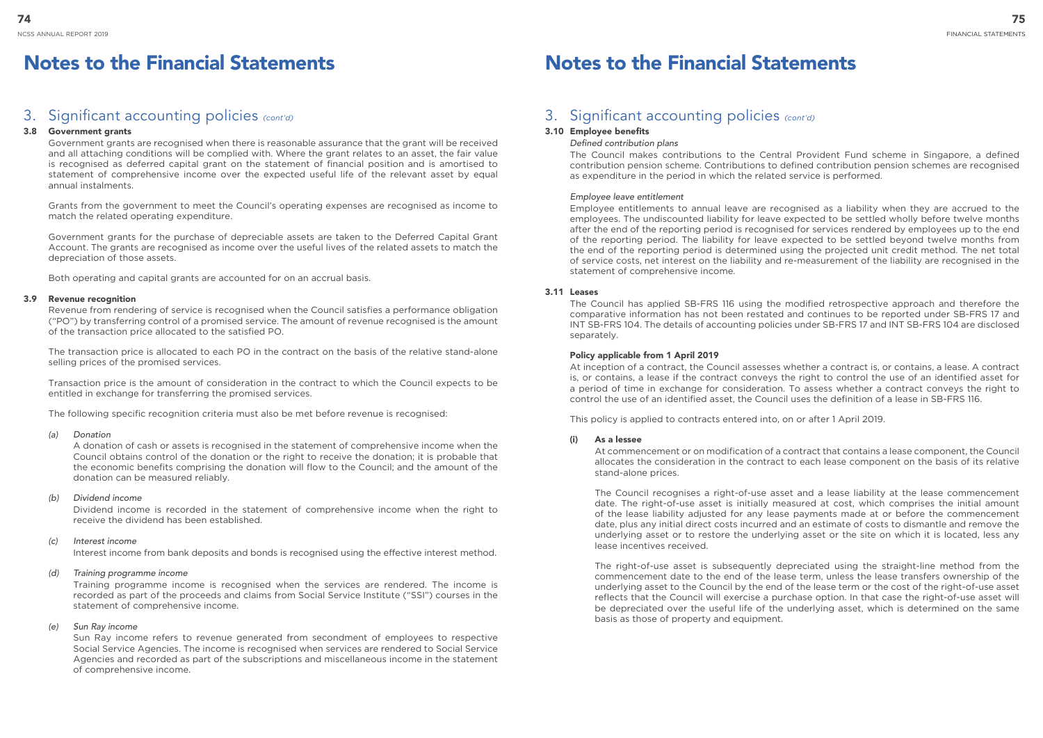## 3. Significant accounting policies *(cont'd)*

### 3.8 Government grants

Government grants are recognised when there is reasonable assurance that the grant will be received and all attaching conditions will be complied with. Where the grant relates to an asset, the fair value is recognised as deferred capital grant on the statement of financial position and is amortised to statement of comprehensive income over the expected useful life of the relevant asset by equal annual instalments.

Grants from the government to meet the Council's operating expenses are recognised as income to match the related operating expenditure.

Government grants for the purchase of depreciable assets are taken to the Deferred Capital Grant Account. The grants are recognised as income over the useful lives of the related assets to match the depreciation of those assets.

Both operating and capital grants are accounted for on an accrual basis.

#### 3.9 Revenue recognition

Revenue from rendering of service is recognised when the Council satisfies a performance obligation ("PO") by transferring control of a promised service. The amount of revenue recognised is the amount of the transaction price allocated to the satisfied PO.

The transaction price is allocated to each PO in the contract on the basis of the relative stand-alone selling prices of the promised services.

Transaction price is the amount of consideration in the contract to which the Council expects to be entitled in exchange for transferring the promised services.

The following specific recognition criteria must also be met before revenue is recognised:

#### *(a) Donation*

A donation of cash or assets is recognised in the statement of comprehensive income when the Council obtains control of the donation or the right to receive the donation; it is probable that the economic benefits comprising the donation will flow to the Council; and the amount of the donation can be measured reliably.

*(b) Dividend income*

Dividend income is recorded in the statement of comprehensive income when the right to receive the dividend has been established.

*(c) Interest income*

Interest income from bank deposits and bonds is recognised using the effective interest method.

*(d) Training programme income*

Training programme income is recognised when the services are rendered. The income is recorded as part of the proceeds and claims from Social Service Institute ("SSI") courses in the statement of comprehensive income.

*(e) Sun Ray income*

Sun Ray income refers to revenue generated from secondment of employees to respective Social Service Agencies. The income is recognised when services are rendered to Social Service Agencies and recorded as part of the subscriptions and miscellaneous income in the statement of comprehensive income.

### 3. Significant accounting policies *(cont'd)*

### 3.10 Employee benefits

#### Defined contribution plans

The Council makes contributions to the Central Provident Fund scheme in Singapore, a defined contribution pension scheme. Contributions to defined contribution pension schemes are recognised as expenditure in the period in which the related service is performed.

#### *Employee leave entitlement*

Employee entitlements to annual leave are recognised as a liability when they are accrued to the employees. The undiscounted liability for leave expected to be settled wholly before twelve months after the end of the reporting period is recognised for services rendered by employees up to the end of the reporting period. The liability for leave expected to be settled beyond twelve months from the end of the reporting period is determined using the projected unit credit method. The net total of service costs, net interest on the liability and re-measurement of the liability are recognised in the statement of comprehensive income.

#### 3.11 Leases

The Council has applied SB-FRS 116 using the modified retrospective approach and therefore the comparative information has not been restated and continues to be reported under SB-FRS 17 and INT SB-FRS 104. The details of accounting policies under SB-FRS 17 and INT SB-FRS 104 are disclosed separately.

#### Policy applicable from 1 April 2019

At inception of a contract, the Council assesses whether a contract is, or contains, a lease. A contract is, or contains, a lease if the contract conveys the right to control the use of an identified asset for a period of time in exchange for consideration. To assess whether a contract conveys the right to control the use of an identified asset, the Council uses the definition of a lease in SB-FRS 116.

This policy is applied to contracts entered into, on or after 1 April 2019.

#### (i) As a lessee

At commencement or on modification of a contract that contains a lease component, the Council allocates the consideration in the contract to each lease component on the basis of its relative stand-alone prices.

The Council recognises a right-of-use asset and a lease liability at the lease commencement date. The right-of-use asset is initially measured at cost, which comprises the initial amount of the lease liability adjusted for any lease payments made at or before the commencement date, plus any initial direct costs incurred and an estimate of costs to dismantle and remove the underlying asset or to restore the underlying asset or the site on which it is located, less any lease incentives received.

The right-of-use asset is subsequently depreciated using the straight-line method from the commencement date to the end of the lease term, unless the lease transfers ownership of the underlying asset to the Council by the end of the lease term or the cost of the right-of-use asset reflects that the Council will exercise a purchase option. In that case the right-of-use asset will be depreciated over the useful life of the underlying asset, which is determined on the same basis as those of property and equipment.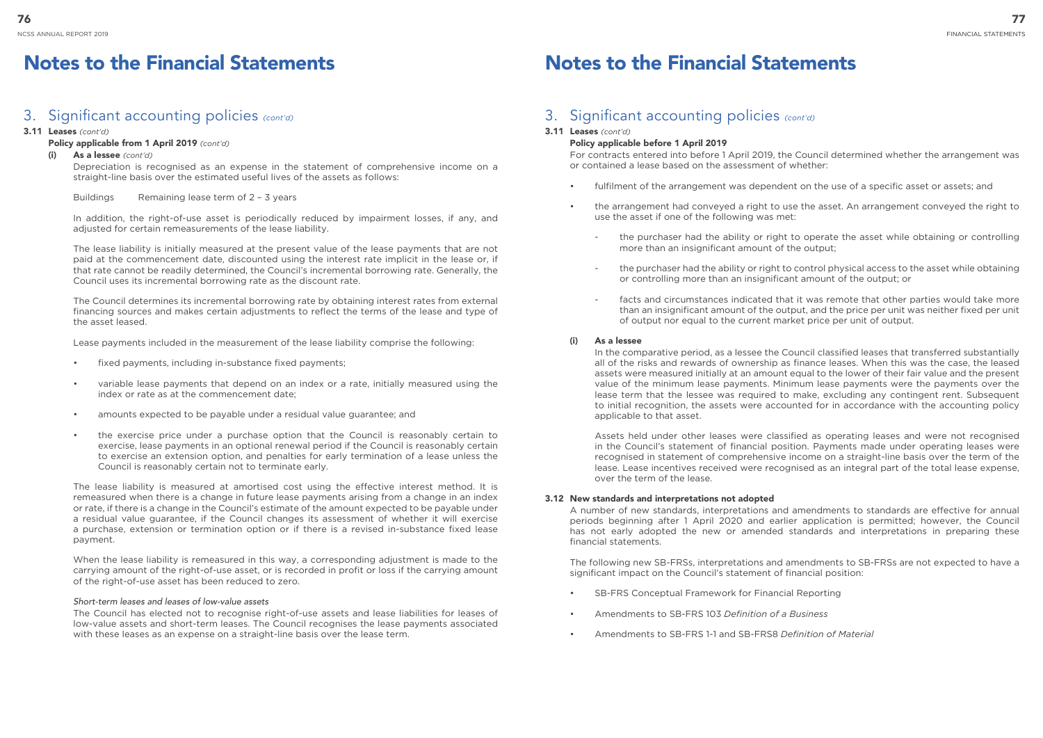### 3. Significant accounting policies *(cont'd)*

3.11 Leases *(cont'd)*

Policy applicable from 1 April 2019 *(cont'd)*

(i) As a lessee *(cont'd)*

Depreciation is recognised as an expense in the statement of comprehensive income on a straight-line basis over the estimated useful lives of the assets as follows:

Buildings Remaining lease term of 2 – 3 years

In addition, the right-of-use asset is periodically reduced by impairment losses, if any, and adjusted for certain remeasurements of the lease liability.

The lease liability is initially measured at the present value of the lease payments that are not paid at the commencement date, discounted using the interest rate implicit in the lease or, if that rate cannot be readily determined, the Council's incremental borrowing rate. Generally, the Council uses its incremental borrowing rate as the discount rate.

The Council determines its incremental borrowing rate by obtaining interest rates from external financing sources and makes certain adjustments to reflect the terms of the lease and type of the asset leased.

Lease payments included in the measurement of the lease liability comprise the following:

- fixed payments, including in-substance fixed payments;
- variable lease payments that depend on an index or a rate, initially measured using the index or rate as at the commencement date;
- amounts expected to be payable under a residual value guarantee; and
- the exercise price under a purchase option that the Council is reasonably certain to exercise, lease payments in an optional renewal period if the Council is reasonably certain to exercise an extension option, and penalties for early termination of a lease unless the Council is reasonably certain not to terminate early.

facts and circumstances indicated that it was remote that other parties would take more than an insignificant amount of the output, and the price per unit was neither fixed per unit

The lease liability is measured at amortised cost using the effective interest method. It is remeasured when there is a change in future lease payments arising from a change in an index or rate, if there is a change in the Council's estimate of the amount expected to be payable under a residual value guarantee, if the Council changes its assessment of whether it will exercise a purchase, extension or termination option or if there is a revised in-substance fixed lease payment.

When the lease liability is remeasured in this way, a corresponding adjustment is made to the carrying amount of the right-of-use asset, or is recorded in profit or loss if the carrying amount of the right-of-use asset has been reduced to zero.

#### Short-term leases and leases of low-value assets

The Council has elected not to recognise right-of-use assets and lease liabilities for leases of low-value assets and short-term leases. The Council recognises the lease payments associated with these leases as an expense on a straight-line basis over the lease term.

### 3. Significant accounting policies *(cont'd)*

#### 3.11 Leases *(cont'd)*

#### Policy applicable before 1 April 2019

For contracts entered into before 1 April 2019, the Council determined whether the arrangement was or contained a lease based on the assessment of whether:

• the arrangement had conveyed a right to use the asset. An arrangement conveyed the right to

the purchaser had the ability or right to operate the asset while obtaining or controlling

- the purchaser had the ability or right to control physical access to the asset while obtaining

- 
- use the asset if one of the following was met:
	- more than an insignificant amount of the output;
	- or controlling more than an insignificant amount of the output; or
	- of output nor equal to the current market price per unit of output.

#### (i) As a lessee

In the comparative period, as a lessee the Council classified leases that transferred substantially all of the risks and rewards of ownership as finance leases. When this was the case, the leased assets were measured initially at an amount equal to the lower of their fair value and the present value of the minimum lease payments. Minimum lease payments were the payments over the lease term that the lessee was required to make, excluding any contingent rent. Subsequent to initial recognition, the assets were accounted for in accordance with the accounting policy applicable to that asset.

Assets held under other leases were classified as operating leases and were not recognised in the Council's statement of financial position. Payments made under operating leases were recognised in statement of comprehensive income on a straight-line basis over the term of the lease. Lease incentives received were recognised as an integral part of the total lease expense, over the term of the lease.

#### 3.12 New standards and interpretations not adopted

A number of new standards, interpretations and amendments to standards are effective for annual periods beginning after 1 April 2020 and earlier application is permitted; however, the Council has not early adopted the new or amended standards and interpretations in preparing these financial statements.

The following new SB-FRSs, interpretations and amendments to SB-FRSs are not expected to have a significant impact on the Council's statement of financial position:

- SB-FRS Conceptual Framework for Financial Reporting
- Amendments to SB-FRS 103 *Definition of a Business*
- Amendments to SB-FRS 1-1 and SB-FRS8 *Definition of Material*

fulfilment of the arrangement was dependent on the use of a specific asset or assets; and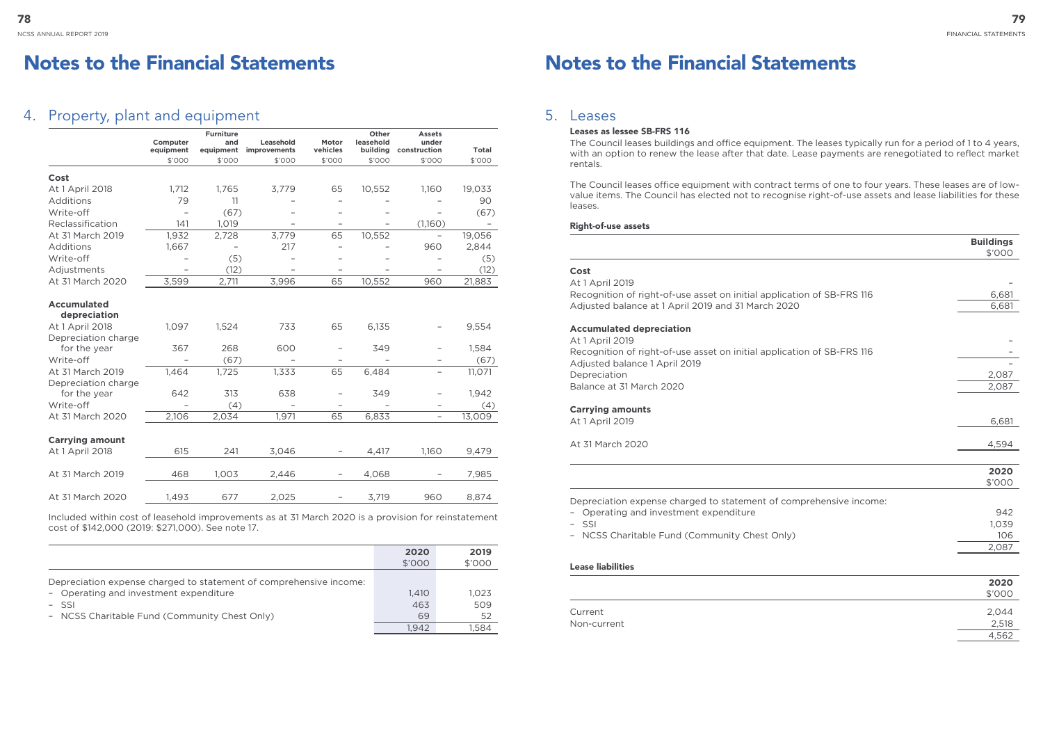## 4. Property, plant and equipment

|                                           | Computer<br>equipment | <b>Furniture</b><br>and<br>equipment | <b>Leasehold</b><br>improvements | <b>Motor</b><br>vehicles | Other<br>leasehold<br>building | <b>Assets</b><br>under<br>construction | <b>Total</b> |
|-------------------------------------------|-----------------------|--------------------------------------|----------------------------------|--------------------------|--------------------------------|----------------------------------------|--------------|
|                                           | \$'000                | \$'000                               | \$'000                           | \$'000                   | \$'000                         | \$'000                                 | \$'000       |
| Cost                                      |                       |                                      |                                  |                          |                                |                                        |              |
| At 1 April 2018                           | 1,712                 | 1,765                                | 3,779                            | 65                       | 10,552                         | 1,160                                  | 19,033       |
| Additions                                 | 79                    | 11                                   |                                  |                          |                                |                                        | 90           |
| Write-off                                 | $\equiv$              | (67)                                 |                                  |                          |                                |                                        | (67)         |
| Reclassification                          | 141                   | 1,019                                |                                  | $\qquad \qquad -$        |                                | (1,160)                                |              |
| At 31 March 2019                          | 1,932                 | 2,728                                | 3,779                            | 65                       | 10,552                         |                                        | 19,056       |
| <b>Additions</b>                          | 1,667                 | $\overline{\phantom{0}}$             | 217                              |                          |                                | 960                                    | 2,844        |
| Write-off                                 |                       | (5)                                  |                                  | $\overline{\phantom{0}}$ |                                |                                        | (5)          |
| Adjustments                               |                       | (12)                                 |                                  |                          |                                |                                        | (12)         |
| At 31 March 2020                          | 3,599                 | 2,711                                | 3,996                            | 65                       | 10,552                         | 960                                    | 21,883       |
| <b>Accumulated</b><br>depreciation        |                       |                                      |                                  |                          |                                |                                        |              |
| At 1 April 2018                           | 1,097                 | 1,524                                | 733                              | 65                       | 6,135                          |                                        | 9,554        |
| Depreciation charge                       |                       |                                      |                                  |                          |                                |                                        |              |
| for the year                              | 367                   | 268                                  | 600                              |                          | 349                            |                                        | 1,584        |
| Write-off                                 |                       | (67)                                 |                                  |                          |                                |                                        | (67)         |
| At 31 March 2019<br>Depreciation charge   | 1,464                 | 1,725                                | 1,333                            | 65                       | 6,484                          | $\overline{\phantom{0}}$               | 11,071       |
| for the year                              | 642                   | 313                                  | 638                              |                          | 349                            | -                                      | 1,942        |
| Write-off                                 |                       | (4)                                  |                                  |                          |                                |                                        | (4)          |
| At 31 March 2020                          | 2,106                 | 2,034                                | 1,971                            | 65                       | 6,833                          | $\equiv$                               | 13,009       |
| <b>Carrying amount</b><br>At 1 April 2018 | 615                   | 241                                  | 3,046                            |                          | 4,417                          | 1,160                                  | 9,479        |
|                                           |                       |                                      |                                  |                          |                                |                                        |              |
| At 31 March 2019                          | 468                   | 1,003                                | 2,446                            | $\overline{\phantom{m}}$ | 4,068                          |                                        | 7,985        |
| At 31 March 2020                          | 1,493                 | 677                                  | 2,025                            |                          | 3,719                          | 960                                    | 8,874        |

Included within cost of leasehold improvements as at 31 March 2020 is a provision for reinstatement cost of \$142,000 (2019: \$271,000). See note 17.

|                                                                                                                                                                          | 2020               | 2019               |
|--------------------------------------------------------------------------------------------------------------------------------------------------------------------------|--------------------|--------------------|
|                                                                                                                                                                          | \$'000             | \$'000             |
| Depreciation expense charged to statement of comprehensive income:<br>- Operating and investment expenditure<br>$-$ SSI<br>- NCSS Charitable Fund (Community Chest Only) | 1,410<br>463<br>69 | 1.023<br>509<br>52 |
|                                                                                                                                                                          | 1.942              | .584               |

### 5. Leases

### Leases as lessee SB-FRS 116

### The Council leases buildings and office equipment. The leases typically run for a period of 1 to 4 years, with an option to renew the lease after that date. Lease payments are renegotiated to reflect market

rentals.

The Council leases office equipment with contract terms of one to four years. These leases are of lowvalue items. The Council has elected not to recognise right-of-use assets and lease liabilities for these leases.

### Right-of-use assets

### **Cost**

### **Accumulated depreciation**

|                                                                        | <b>Buildings</b> |
|------------------------------------------------------------------------|------------------|
|                                                                        | \$'000           |
| Cost                                                                   |                  |
| At 1 April 2019                                                        |                  |
| Recognition of right-of-use asset on initial application of SB-FRS 116 | 6,681            |
| Adjusted balance at 1 April 2019 and 31 March 2020                     | 6,681            |
| <b>Accumulated depreciation</b>                                        |                  |
| At 1 April 2019                                                        |                  |
| Recognition of right-of-use asset on initial application of SB-FRS 116 |                  |
| Adjusted balance 1 April 2019                                          |                  |
| Depreciation                                                           | 2,087            |
| Balance at 31 March 2020                                               | 2,087            |
|                                                                        |                  |
| <b>Carrying amounts</b>                                                |                  |
| At 1 April 2019                                                        | 6,681            |
| At 31 March 2020                                                       | 4,594            |
|                                                                        |                  |
|                                                                        | 2020             |
|                                                                        | \$'000           |
| Depreciation expense charged to statement of comprehensive income:     |                  |
| - Operating and investment expenditure                                 | 942              |
| - SSI                                                                  | 1,039            |
| - NCSS Charitable Fund (Community Chest Only)                          | 106              |
|                                                                        | 2,087            |
| <b>Lease liabilities</b>                                               |                  |
|                                                                        |                  |
|                                                                        | 2020             |
|                                                                        | \$'000           |
| Current                                                                | 2,044            |
| Non-current                                                            | 2,518            |
|                                                                        | 4,562            |

### **Carrying amounts**

### Lease liabilities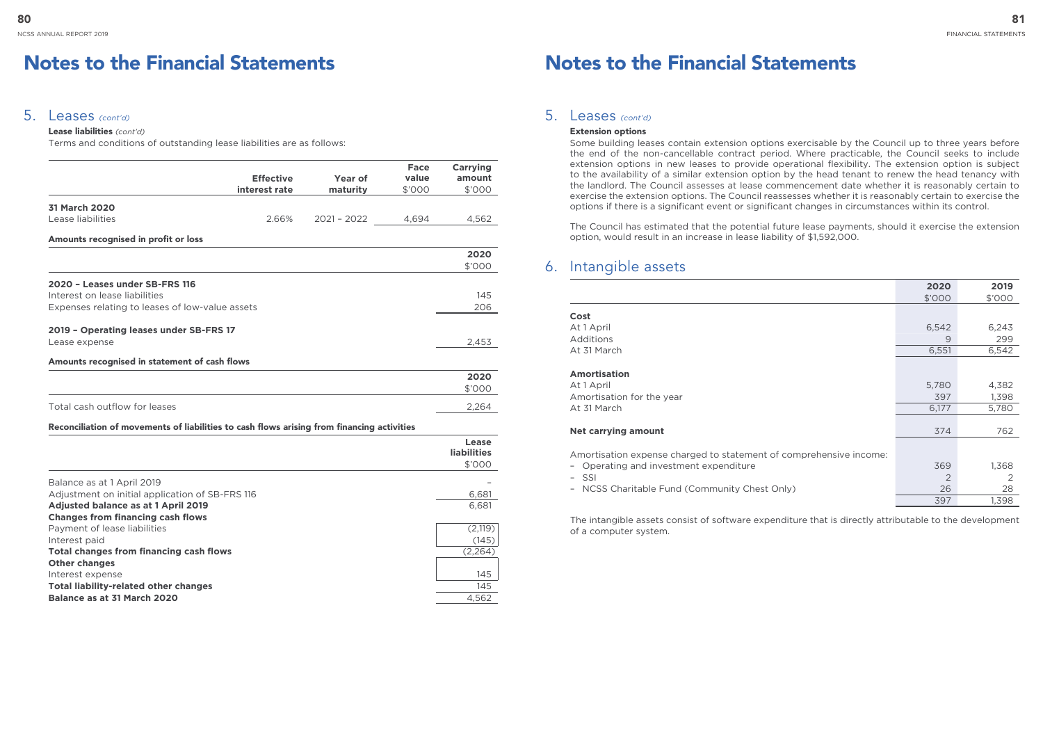### 5. Leases *(cont'd)*

Lease liabilities *(cont'd)*

Terms and conditions of outstanding lease liabilities are as follows:

|                                                 |                  |                | Face   | <b>Carrying</b> |
|-------------------------------------------------|------------------|----------------|--------|-----------------|
|                                                 | <b>Effective</b> | <b>Year of</b> | value  | amount          |
|                                                 | interest rate    | maturity       | \$'000 | \$'000          |
| 31 March 2020                                   |                  |                |        |                 |
| Lease liabilities                               | 2.66%            | $2021 - 2022$  | 4,694  | 4,562           |
| Amounts recognised in profit or loss            |                  |                |        |                 |
|                                                 |                  |                |        | 2020            |
|                                                 |                  |                |        | \$'000          |
| 2020 - Leases under SB-FRS 116                  |                  |                |        |                 |
| Interest on lease liabilities                   |                  |                |        | 145             |
| Expenses relating to leases of low-value assets |                  |                |        | 206             |
| 2019 - Operating leases under SB-FRS 17         |                  |                |        |                 |
| Lease expense                                   |                  |                |        | 2,453           |
|                                                 |                  |                |        |                 |
| Amounts recognised in statement of cash flows   |                  |                |        |                 |
|                                                 |                  |                |        | 2020            |
|                                                 |                  |                |        | \$'000          |
| Total cash outflow for leases                   |                  |                |        | 2,264           |
|                                                 |                  |                |        |                 |

#### Reconciliation of movements of liabilities to cash flows arising from financing activities

| Lease<br><b>liabilities</b> |
|-----------------------------|
| \$'000                      |
|                             |
| 6,681                       |
| 6,681                       |
|                             |
| (2, 119)                    |
| (145)                       |
| (2,264)                     |
|                             |
| 145                         |
| 145                         |
| 4.562                       |
|                             |

### 5. Leases *(cont'd)*

#### Extension options

- Operating and investment expenditure
- 
- NCSS Charitable Fund (Community Chest Only) 26 28

Some building leases contain extension options exercisable by the Council up to three years before the end of the non-cancellable contract period. Where practicable, the Council seeks to include extension options in new leases to provide operational flexibility. The extension option is subject to the availability of a similar extension option by the head tenant to renew the head tenancy with the landlord. The Council assesses at lease commencement date whether it is reasonably certain to exercise the extension options. The Council reassesses whether it is reasonably certain to exercise the options if there is a significant event or significant changes in circumstances within its control.

The Council has estimated that the potential future lease payments, should it exercise the extension option, would result in an increase in lease liability of \$1,592,000.

### 6. Intangible assets

### **Cost**

#### **Amortisation**

#### **Net carrying amount**

| 2020           | 2019   |
|----------------|--------|
| \$'000         | \$'000 |
|                |        |
| 6,542          | 6,243  |
| 9              | 299    |
| 6,551          | 6,542  |
|                |        |
|                |        |
| 5,780          | 4,382  |
| 397            | 1,398  |
| 6,177          | 5,780  |
|                |        |
| 374            | 762    |
|                |        |
|                |        |
| 369            | 1,368  |
| $\overline{2}$ | 2      |
| 26             | 28     |
| 397            | 1,398  |
|                |        |

The intangible assets consist of software expenditure that is directly attributable to the development of a computer system.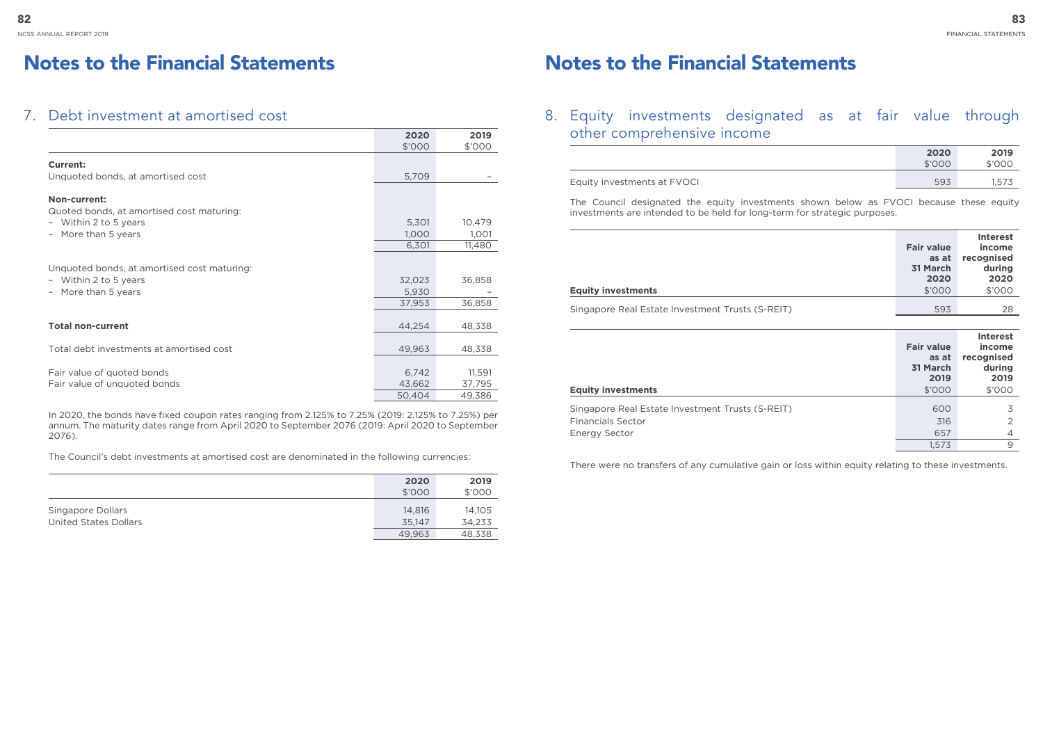## 7. Debt investment at amortised cost

|                                             | 2020   | 2019   |
|---------------------------------------------|--------|--------|
|                                             | \$'000 | \$'000 |
| <b>Current:</b>                             |        |        |
| Unquoted bonds, at amortised cost           | 5,709  |        |
| Non-current:                                |        |        |
| Quoted bonds, at amortised cost maturing:   |        |        |
| Within 2 to 5 years                         | 5,301  | 10,479 |
| More than 5 years                           | 1,000  | 1,001  |
|                                             | 6,301  | 11,480 |
|                                             |        |        |
| Unquoted bonds, at amortised cost maturing: |        |        |
| - Within 2 to 5 years                       | 32,023 | 36,858 |
| More than 5 years                           | 5,930  |        |
|                                             | 37,953 | 36,858 |
|                                             |        |        |
| <b>Total non-current</b>                    | 44,254 | 48,338 |
| Total debt investments at amortised cost    | 49,963 | 48,338 |
|                                             |        |        |
| Fair value of quoted bonds                  | 6,742  | 11,591 |
| Fair value of unquoted bonds                | 43,662 | 37,795 |
|                                             | 50,404 | 49,386 |

In 2020, the bonds have fixed coupon rates ranging from 2.125% to 7.25% (2019: 2.125% to 7.25%) per annum. The maturity dates range from April 2020 to September 2076 (2019: April 2020 to September 2076).

The Council's debt investments at amortised cost are denominated in the following currencies:

|                              | 2020   | 2019   |
|------------------------------|--------|--------|
|                              | \$'000 | \$'000 |
|                              |        |        |
| Singapore Dollars            | 14,816 | 14,105 |
| <b>United States Dollars</b> | 35,147 | 34,233 |
|                              | 49.963 | 48,338 |

## 8. Equity investments designated as at fair value through other comprehensive income

| Equity investments at FVOCI |  |
|-----------------------------|--|
|                             |  |

|                             | 2020   | 2019   |
|-----------------------------|--------|--------|
|                             | \$'000 | \$'000 |
| Equity investments at FVOCI | 593    | 1,573  |

The Council designated the equity investments shown below as FVOCI because these equity investments are intended to be held for long-term for strategic purposes.

#### **Equity investments**

Singapore Real Estate Investment Trusts (S-REIT)

#### **Equity investments**

Singapore Real Estate Investment Trusts (S-REIT) Financials Sector Energy Sector

| <b>Fair value</b><br>as at<br>31 March<br>2020<br>\$'000 | <b>Interest</b><br>income<br>recognised<br>during<br>2020<br>\$'000 |
|----------------------------------------------------------|---------------------------------------------------------------------|
|                                                          |                                                                     |
| 593                                                      | 28                                                                  |

|    | <b>Fair value</b><br>as at<br>31 March<br>2019<br>\$'000 | <b>Interest</b><br>income<br>recognised<br>during<br>2019<br>\$'000 |
|----|----------------------------------------------------------|---------------------------------------------------------------------|
| C) | 600                                                      | 3                                                                   |
|    | 316<br>657                                               | $\overline{2}$<br>4                                                 |
|    | 1,573                                                    | q                                                                   |

There were no transfers of any cumulative gain or loss within equity relating to these investments.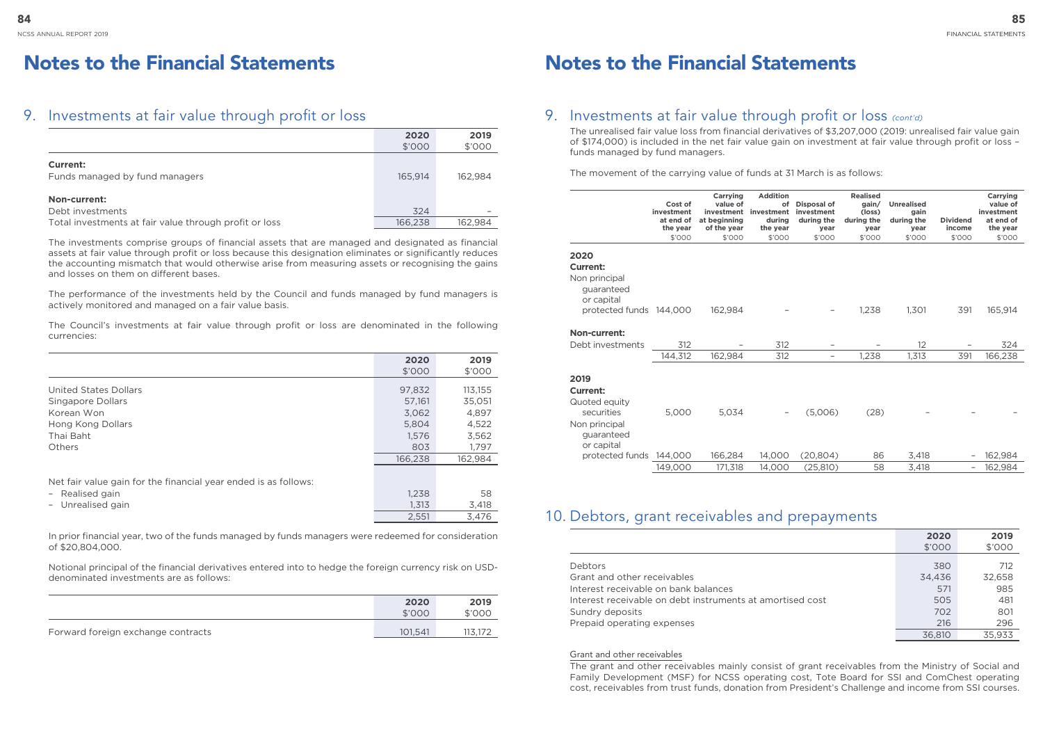### 9. Investments at fair value through profit or loss

|                                                        | 2020    | 2019    |
|--------------------------------------------------------|---------|---------|
|                                                        | \$'000  | \$'000  |
| <b>Current:</b><br>Funds managed by fund managers      | 165,914 | 162,984 |
| Non-current:                                           |         |         |
| Debt investments                                       | 324     |         |
| Total investments at fair value through profit or loss | 166,238 | 162,984 |

The investments comprise groups of financial assets that are managed and designated as financial assets at fair value through profit or loss because this designation eliminates or significantly reduces the accounting mismatch that would otherwise arise from measuring assets or recognising the gains and losses on them on different bases.

The performance of the investments held by the Council and funds managed by fund managers is actively monitored and managed on a fair value basis.

The Council's investments at fair value through profit or loss are denominated in the following currencies:

|                                                                 | 2020    | 2019    |
|-----------------------------------------------------------------|---------|---------|
|                                                                 | \$'000  | \$'000  |
| United States Dollars                                           | 97,832  | 113,155 |
| Singapore Dollars                                               | 57,161  | 35,051  |
| Korean Won                                                      | 3,062   | 4,897   |
| Hong Kong Dollars                                               | 5,804   | 4,522   |
| Thai Baht                                                       | 1,576   | 3,562   |
| Others                                                          | 803     | 1,797   |
|                                                                 | 166,238 | 162,984 |
| Net fair value gain for the financial year ended is as follows: |         |         |
| - Realised gain                                                 | 1,238   | 58      |
| Unrealised gain<br>$\qquad \qquad -$                            | 1,313   | 3,418   |
|                                                                 | 2,551   | 3,476   |

In prior financial year, two of the funds managed by funds managers were redeemed for consideration of \$20,804,000.

Notional principal of the financial derivatives entered into to hedge the foreign currency risk on USDdenominated investments are as follows:

|                                    | 2020    | 2019   |
|------------------------------------|---------|--------|
|                                    | \$'000  | \$'000 |
| Forward foreign exchange contracts | 101.541 |        |

## 9. Investments at fair value through profit or loss *(cont'd)*

The unrealised fair value loss from financial derivatives of \$3,207,000 (2019: unrealised fair value gain of \$174,000) is included in the net fair value gain on investment at fair value through profit or loss – funds managed by fund managers.

The movement of the carrying value of funds at 31 March is as follows:

|                                                                                                                        | Cost of<br>investment<br>at end of<br>the year<br>\$'000 | Carrying<br>value of<br>investment<br>at beginning<br>of the year<br>\$'000 | <b>Addition</b><br>of<br>investment<br>during<br>the year<br>\$'000 | <b>Disposal of</b><br>investment<br>during the<br>year<br>\$'000 | <b>Realised</b><br>gain/<br>(loss)<br>during the<br>year<br>\$'000 | <b>Unrealised</b><br>gain<br>during the<br>year<br>\$'000 | <b>Dividend</b><br>income<br>\$'000    | Carrying<br>value of<br>investment<br>at end of<br>the year<br>\$'000 |
|------------------------------------------------------------------------------------------------------------------------|----------------------------------------------------------|-----------------------------------------------------------------------------|---------------------------------------------------------------------|------------------------------------------------------------------|--------------------------------------------------------------------|-----------------------------------------------------------|----------------------------------------|-----------------------------------------------------------------------|
| 2020<br><b>Current:</b><br>Non principal<br>guaranteed<br>or capital<br>protected funds 144,000                        |                                                          | 162,984                                                                     |                                                                     |                                                                  | 1,238                                                              | 1,301                                                     | 391                                    | 165,914                                                               |
| Non-current:<br>Debt investments                                                                                       | 312<br>144,312                                           | 162,984                                                                     | 312<br>312                                                          | $\overline{\phantom{0}}$<br>$\overline{\phantom{0}}$             | 1,238                                                              | 12<br>1,313                                               | 391                                    | 324<br>166,238                                                        |
| 2019<br><b>Current:</b><br>Quoted equity<br>securities<br>Non principal<br>guaranteed<br>or capital<br>protected funds | 5,000<br>144,000<br>149,000                              | 5,034<br>166,284<br>171,318                                                 | 14,000<br>14,000                                                    | (5,006)<br>(20, 804)<br>(25, 810)                                | (28)<br>86<br>58                                                   | 3,418<br>3,418                                            | $\qquad \qquad -$<br>$\qquad \qquad -$ | 162,984<br>162,984                                                    |

## 10. Debtors, grant receivables and prepayments

|                                                           | 2020   | 2019   |
|-----------------------------------------------------------|--------|--------|
|                                                           | \$'000 | \$'000 |
| Debtors                                                   | 380    | 712    |
| Grant and other receivables                               | 34,436 | 32,658 |
| Interest receivable on bank balances                      | 571    | 985    |
| Interest receivable on debt instruments at amortised cost | 505    | 481    |
| Sundry deposits                                           | 702    | 801    |
| Prepaid operating expenses                                | 216    | 296    |
|                                                           | 36,810 | 35,933 |

#### Grant and other receivables

The grant and other receivables mainly consist of grant receivables from the Ministry of Social and Family Development (MSF) for NCSS operating cost, Tote Board for SSI and ComChest operating cost, receivables from trust funds, donation from President's Challenge and income from SSI courses.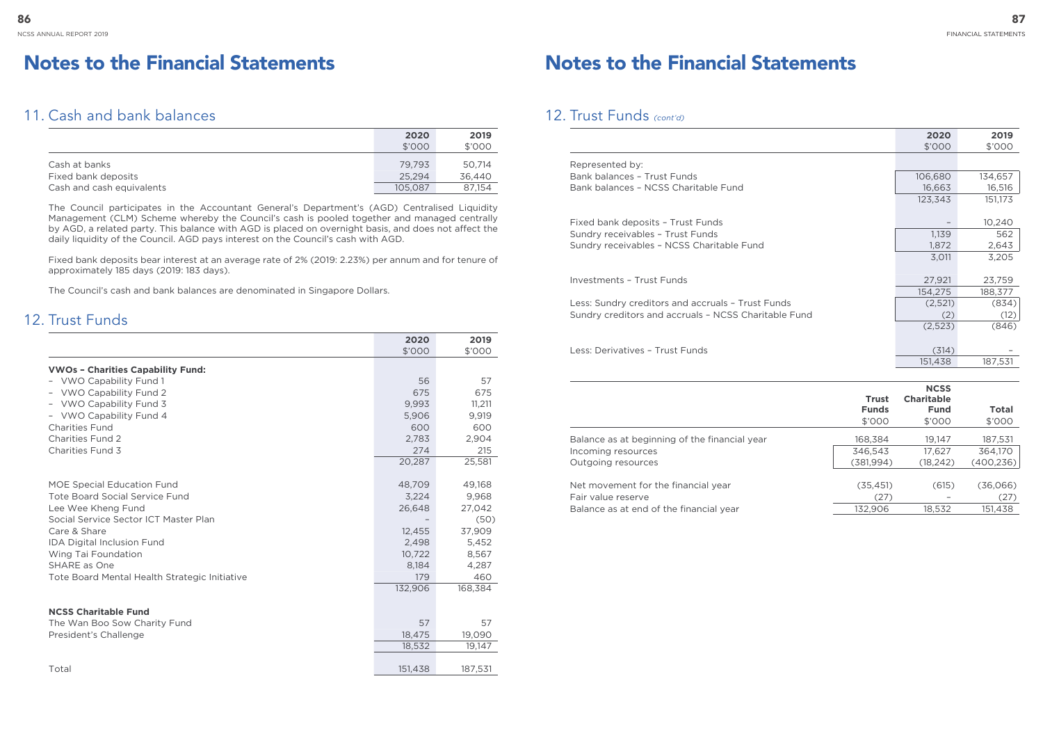## 11. Cash and bank balances

|                           | 2020    | 2019   |
|---------------------------|---------|--------|
|                           | \$'000  | \$'000 |
| Cash at banks             | 79,793  | 50.714 |
| Fixed bank deposits       | 25,294  | 36,440 |
| Cash and cash equivalents | 105,087 | 87,154 |

The Council participates in the Accountant General's Department's (AGD) Centralised Liquidity Management (CLM) Scheme whereby the Council's cash is pooled together and managed centrally by AGD, a related party. This balance with AGD is placed on overnight basis, and does not affect the daily liquidity of the Council. AGD pays interest on the Council's cash with AGD.

Fixed bank deposits bear interest at an average rate of 2% (2019: 2.23%) per annum and for tenure of approximately 185 days (2019: 183 days).

The Council's cash and bank balances are denominated in Singapore Dollars.

## 12. Trust Funds

Represented by: Bank balances - Trust Funds Bank balances - NCSS Charitable Fund

Fixed bank deposits - Trust Funds Sundry receivables - Trust Funds Sundry receivables - NCSS Charitable Fund

Investments - Trust Funds

Less: Sundry creditors and accruals - Trust Funds Sundry creditors and accruals - NCSS Charitable

Less: Derivatives - Trust Funds

Balance as at beginning of the financial year Incoming resources Outgoing resources

Net movement for the financial year Fair value reserve Balance as at end of the financial year

|                                               | 2020    | 2019    |
|-----------------------------------------------|---------|---------|
|                                               | \$'000  | \$'000  |
| <b>VWOs - Charities Capability Fund:</b>      |         |         |
| - VWO Capability Fund 1                       | 56      | 57      |
| - VWO Capability Fund 2                       | 675     | 675     |
| - VWO Capability Fund 3                       | 9,993   | 11,211  |
| - VWO Capability Fund 4                       | 5,906   | 9,919   |
| <b>Charities Fund</b>                         | 600     | 600     |
| <b>Charities Fund 2</b>                       | 2,783   | 2,904   |
| Charities Fund 3                              | 274     | 215     |
|                                               | 20,287  | 25,581  |
|                                               |         |         |
| <b>MOE Special Education Fund</b>             | 48,709  | 49,168  |
| <b>Tote Board Social Service Fund</b>         | 3,224   | 9,968   |
| Lee Wee Kheng Fund                            | 26,648  | 27,042  |
| Social Service Sector ICT Master Plan         |         | (50)    |
| Care & Share                                  | 12,455  | 37,909  |
| <b>IDA Digital Inclusion Fund</b>             | 2,498   | 5,452   |
| Wing Tai Foundation                           | 10,722  | 8,567   |
| SHARE as One                                  | 8,184   | 4,287   |
| Tote Board Mental Health Strategic Initiative | 179     | 460     |
|                                               | 132,906 | 168,384 |
|                                               |         |         |
| <b>NCSS Charitable Fund</b>                   |         |         |
| The Wan Boo Sow Charity Fund                  | 57      | 57      |
| President's Challenge                         | 18,475  | 19,090  |
|                                               | 18,532  | 19,147  |
|                                               |         |         |
| Total                                         | 151,438 | 187,531 |

### 12. Trust Funds *(cont'd)*

|      | 2020    | 2019    |
|------|---------|---------|
|      | \$'000  | \$'000  |
|      |         |         |
|      | 106,680 | 134,657 |
|      | 16,663  | 16,516  |
|      | 123,343 | 151,173 |
|      |         |         |
|      |         | 10,240  |
|      | 1,139   | 562     |
|      | 1,872   | 2,643   |
|      | 3,011   | 3,205   |
|      |         |         |
|      | 27,921  | 23,759  |
|      | 154,275 | 188,377 |
| Ŝ    | (2,521) | (834)   |
| Fund | (2)     | (12)    |
|      | (2,523) | (846)   |
|      |         |         |
|      | (314)   |         |
|      | 151,438 | 187,531 |
|      |         |         |

|              | <b>NCSS</b>       |            |
|--------------|-------------------|------------|
| <b>Trust</b> | <b>Charitable</b> |            |
| <b>Funds</b> | Fund              | Total      |
| \$'000       | \$'000            | \$'000     |
| 168,384      | 19,147            | 187,531    |
| 346,543      | 17,627            | 364,170    |
| (381, 994)   | (18, 242)         | (400, 236) |
|              |                   |            |
| (35, 451)    | (615)             | (36,066)   |
| (27)         |                   | (27)       |
| 132,906      | 18,532            | 151,438    |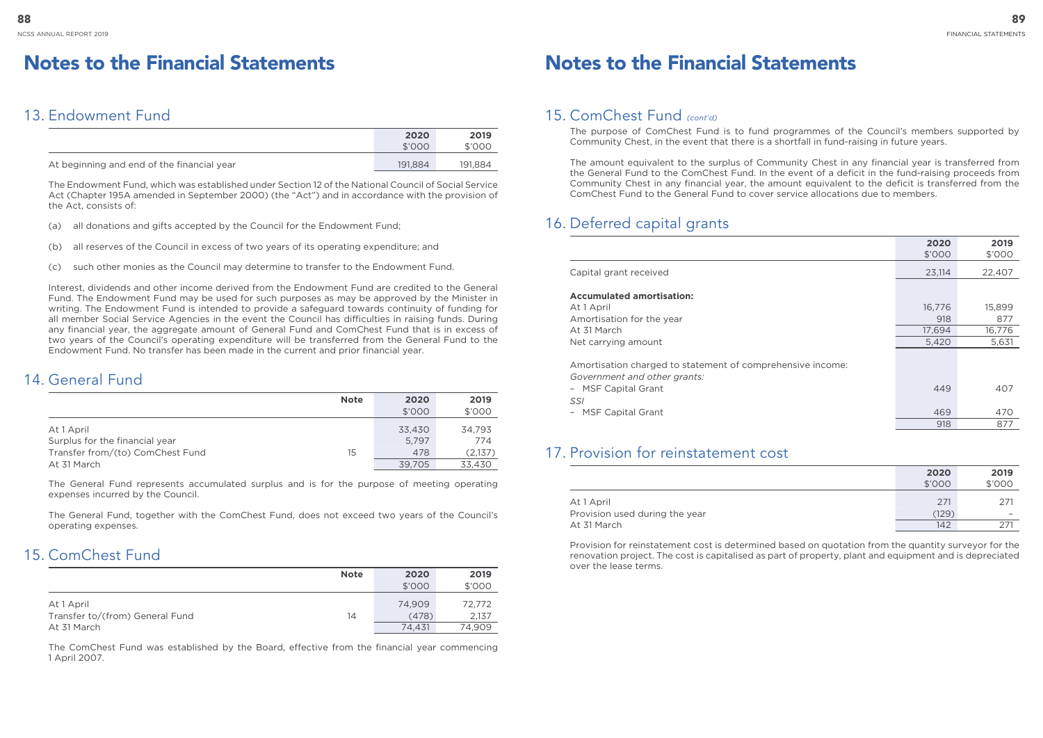## 13. Endowment Fund

|                                            | 2020    | 2019    |
|--------------------------------------------|---------|---------|
|                                            | \$'000  | \$'000  |
| At beginning and end of the financial year | 191.884 | 191.884 |

The Endowment Fund, which was established under Section 12 of the National Council of Social Service Act (Chapter 195A amended in September 2000) (the "Act") and in accordance with the provision of the Act, consists of:

(a) all donations and gifts accepted by the Council for the Endowment Fund;

(b) all reserves of the Council in excess of two years of its operating expenditure; and

(c) such other monies as the Council may determine to transfer to the Endowment Fund.

Interest, dividends and other income derived from the Endowment Fund are credited to the General Fund. The Endowment Fund may be used for such purposes as may be approved by the Minister in writing. The Endowment Fund is intended to provide a safeguard towards continuity of funding for all member Social Service Agencies in the event the Council has difficulties in raising funds. During any financial year, the aggregate amount of General Fund and ComChest Fund that is in excess of two years of the Council's operating expenditure will be transferred from the General Fund to the Endowment Fund. No transfer has been made in the current and prior financial year.

## 14. General Fund

|                                  | <b>Note</b> | 2020   | 2019    |
|----------------------------------|-------------|--------|---------|
|                                  |             | \$'000 | \$'000  |
|                                  |             |        |         |
| At 1 April                       |             | 33,430 | 34.793  |
| Surplus for the financial year   |             | 5,797  | 774     |
| Transfer from/(to) ComChest Fund | 15          | 478    | (2,137) |
| At 31 March                      |             | 39.705 | 33,430  |

The General Fund represents accumulated surplus and is for the purpose of meeting operating expenses incurred by the Council.

The General Fund, together with the ComChest Fund, does not exceed two years of the Council's operating expenses.

## 15. ComChest Fund

|                                 | <b>Note</b> | 2020<br>\$'000 | 2019<br>\$'000 |
|---------------------------------|-------------|----------------|----------------|
|                                 |             |                |                |
| At 1 April                      |             | 74,909         | 72,772         |
| Transfer to/(from) General Fund | 14          | (478)          | 2,137          |
| At 31 March                     |             | 74.431         | 74,909         |

The ComChest Fund was established by the Board, effective from the financial year commencing 1 April 2007.

### 15. ComChest Fund *(cont'd)*

The purpose of ComChest Fund is to fund programmes of the Council's members supported by Community Chest, in the event that there is a shortfall in fund-raising in future years.

The amount equivalent to the surplus of Community Chest in any financial year is transferred from the General Fund to the ComChest Fund. In the event of a deficit in the fund-raising proceeds from Community Chest in any financial year, the amount equivalent to the deficit is transferred from the ComChest Fund to the General Fund to cover service allocations due to members.

## 16. Deferred capital grants

#### **Accumulated amortisation:**

|                                                            | 2020   | 2019   |
|------------------------------------------------------------|--------|--------|
|                                                            | \$'000 | \$'000 |
| Capital grant received                                     | 23,114 | 22,407 |
| <b>Accumulated amortisation:</b>                           |        |        |
|                                                            |        |        |
| At 1 April                                                 | 16,776 | 15,899 |
| Amortisation for the year                                  | 918    | 877    |
| At 31 March                                                | 17,694 | 16,776 |
| Net carrying amount                                        | 5,420  | 5,631  |
|                                                            |        |        |
| Amortisation charged to statement of comprehensive income: |        |        |
| Government and other grants:                               |        |        |
| - MSF Capital Grant                                        | 449    | 407    |
| SSI                                                        |        |        |
| - MSF Capital Grant                                        | 469    | 470    |
|                                                            | 918    | 877    |
|                                                            |        |        |

*SSI*

### 17. Provision for reinstatement cost

|                                | 2020   | 2019                     |
|--------------------------------|--------|--------------------------|
|                                |        |                          |
|                                | \$'000 | \$'000                   |
|                                |        |                          |
| At 1 April                     | 271    | 271                      |
| Provision used during the year | (129)  | $\overline{\phantom{0}}$ |
| At 31 March                    | 142    |                          |

Provision for reinstatement cost is determined based on quotation from the quantity surveyor for the renovation project. The cost is capitalised as part of property, plant and equipment and is depreciated over the lease terms.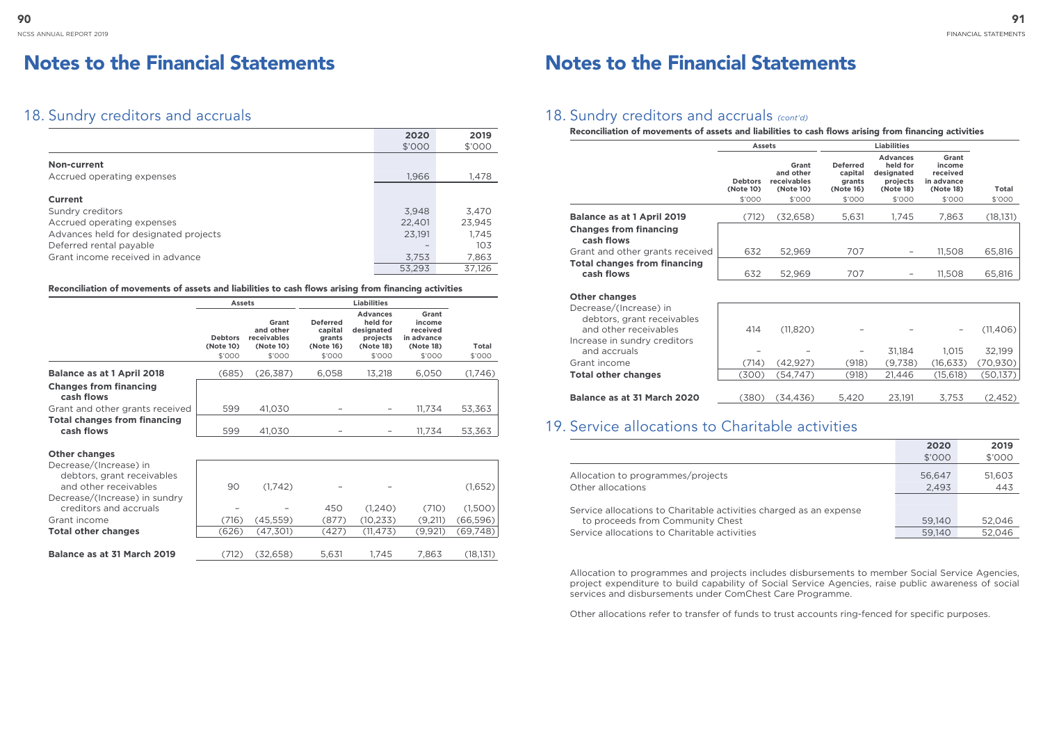## 18. Sundry creditors and accruals

|                                       | 2020   | 2019            |
|---------------------------------------|--------|-----------------|
|                                       | \$'000 | \$'000          |
| Non-current                           |        |                 |
| Accrued operating expenses            | 1,966  | 1,478           |
|                                       |        |                 |
| <b>Current</b>                        |        |                 |
| Sundry creditors                      | 3,948  | 3.470           |
| Accrued operating expenses            | 22,401 | 23,945          |
| Advances held for designated projects | 23,191 | 1,745           |
| Deferred rental payable               |        | 10 <sub>3</sub> |
| Grant income received in advance      | 3,753  | 7,863           |
|                                       | 53,293 | 37,126          |

### Reconciliation of movements of assets and liabilities to cash flows arising from financing activities

|                                                   | <b>Assets</b>               |                                                       | <b>Liabilities</b>                                |                                                                    |                                                        |              |
|---------------------------------------------------|-----------------------------|-------------------------------------------------------|---------------------------------------------------|--------------------------------------------------------------------|--------------------------------------------------------|--------------|
|                                                   | <b>Debtors</b><br>(Note 10) | Grant<br>and other<br><b>receivables</b><br>(Note 10) | <b>Deferred</b><br>capital<br>grants<br>(Note 16) | <b>Advances</b><br>held for<br>designated<br>projects<br>(Note 18) | Grant<br>income<br>received<br>in advance<br>(Note 18) | <b>Total</b> |
|                                                   | \$'000                      | \$'000                                                | \$'000                                            | \$'000                                                             | \$'000                                                 | \$'000       |
| <b>Balance as at 1 April 2018</b>                 | (685)                       | (26, 387)                                             | 6,058                                             | 13,218                                                             | 6,050                                                  | (1,746)      |
| <b>Changes from financing</b><br>cash flows       |                             |                                                       |                                                   |                                                                    |                                                        |              |
| Grant and other grants received                   | 599                         | 41,030                                                |                                                   |                                                                    | 11.734                                                 | 53,363       |
| <b>Total changes from financing</b><br>cash flows | 599                         | 41,030                                                |                                                   |                                                                    | 11.734                                                 | 53,363       |

| <b>Other changes</b>                                                          |       |          |       |           |          |           |
|-------------------------------------------------------------------------------|-------|----------|-------|-----------|----------|-----------|
| Decrease/(Increase) in<br>debtors, grant receivables<br>and other receivables | 90    | (1,742)  |       |           |          | (1,652)   |
| Decrease/(Increase) in sundry<br>creditors and accruals                       |       |          | 450   | (1,240)   | (710)    | (1,500)   |
| Grant income                                                                  | (716) | (45,559) | (877) | (10, 233) | (9,211)  | (66, 596) |
| <b>Total other changes</b>                                                    | (626) | (47,301) | (427) | (11, 473) | (9, 921) | (69, 748) |
| <b>Balance as at 31 March 2019</b>                                            |       | 32.658)  | 5.631 | 1.745     | 7.863    | (18.131)  |

## 18. Sundry creditors and accruals *(cont'd)*

Reconciliation of movements of assets and liabilities to cash flows arising from financing activities

|                                                                               | <b>Assets</b>               |                                                |                                                   | <b>Liabilities</b>                                                 |                                                        |              |
|-------------------------------------------------------------------------------|-----------------------------|------------------------------------------------|---------------------------------------------------|--------------------------------------------------------------------|--------------------------------------------------------|--------------|
|                                                                               | <b>Debtors</b><br>(Note 10) | Grant<br>and other<br>receivables<br>(Note 10) | <b>Deferred</b><br>capital<br>grants<br>(Note 16) | <b>Advances</b><br>held for<br>designated<br>projects<br>(Note 18) | Grant<br>income<br>received<br>in advance<br>(Note 18) | <b>Total</b> |
|                                                                               | \$'000                      | \$'000                                         | \$'000                                            | \$'000                                                             | \$'000                                                 | \$'000       |
| <b>Balance as at 1 April 2019</b>                                             | (712)                       | (32, 658)                                      | 5,631                                             | 1,745                                                              | 7,863                                                  | (18, 131)    |
| <b>Changes from financing</b><br>cash flows                                   |                             |                                                |                                                   |                                                                    |                                                        |              |
| Grant and other grants received                                               | 632                         | 52,969                                         | 707                                               |                                                                    | 11,508                                                 | 65,816       |
| <b>Total changes from financing</b><br>cash flows                             | 632                         | 52,969                                         | 707                                               |                                                                    | 11,508                                                 | 65,816       |
| <b>Other changes</b>                                                          |                             |                                                |                                                   |                                                                    |                                                        |              |
| Decrease/(Increase) in<br>debtors, grant receivables<br>and other receivables | 414                         | (11, 820)                                      |                                                   |                                                                    |                                                        | (11, 406)    |
| Increase in sundry creditors<br>and accruals                                  |                             |                                                |                                                   | 31,184                                                             | 1,015                                                  | 32,199       |
| Grant income                                                                  | (714)                       | (42, 927)                                      | (918)                                             | (9,738)                                                            | (16, 633)                                              | (70, 930)    |
| <b>Total other changes</b>                                                    | (300)                       | (54, 747)                                      | (918)                                             | 21,446                                                             | (15, 618)                                              | (50, 137)    |
| <b>Balance as at 31 March 2020</b>                                            | (380)                       | (34, 436)                                      | 5,420                                             | 23,191                                                             | 3,753                                                  | (2, 452)     |

|                                                                               | <b>Assets</b>               |                                                |                                                   | <b>Liabilities</b>                                                 |                                                        |              |
|-------------------------------------------------------------------------------|-----------------------------|------------------------------------------------|---------------------------------------------------|--------------------------------------------------------------------|--------------------------------------------------------|--------------|
|                                                                               | <b>Debtors</b><br>(Note 10) | Grant<br>and other<br>receivables<br>(Note 10) | <b>Deferred</b><br>capital<br>grants<br>(Note 16) | <b>Advances</b><br>held for<br>designated<br>projects<br>(Note 18) | Grant<br>income<br>received<br>in advance<br>(Note 18) | <b>Total</b> |
|                                                                               | \$'000                      | \$'000                                         | \$'000                                            | \$'000                                                             | \$'000                                                 | \$'000       |
| <b>Balance as at 1 April 2019</b>                                             | (712)                       | (32, 658)                                      | 5,631                                             | 1,745                                                              | 7,863                                                  | (18, 131)    |
| <b>Changes from financing</b><br>cash flows                                   |                             |                                                |                                                   |                                                                    |                                                        |              |
| Grant and other grants received                                               | 632                         | 52,969                                         | 707                                               |                                                                    | 11,508                                                 | 65,816       |
| <b>Total changes from financing</b><br>cash flows                             | 632                         | 52,969                                         | 707                                               |                                                                    | 11,508                                                 | 65,816       |
| <b>Other changes</b>                                                          |                             |                                                |                                                   |                                                                    |                                                        |              |
| Decrease/(Increase) in<br>debtors, grant receivables<br>and other receivables | 414                         | (11, 820)                                      |                                                   |                                                                    |                                                        | (11, 406)    |
| Increase in sundry creditors<br>and accruals                                  |                             |                                                |                                                   | 31,184                                                             | 1,015                                                  | 32,199       |
| Grant income                                                                  | (714)                       | (42, 927)                                      | (918)                                             | (9,738)                                                            | (16, 633)                                              | (70, 930)    |
| <b>Total other changes</b>                                                    | (300)                       | (54, 747)                                      | (918)                                             | 21,446                                                             | (15, 618)                                              | (50, 137)    |
| Balance as at 31 March 2020                                                   | (380)                       | (34 436)                                       | 5420                                              | 23 191                                                             | <b>3753</b>                                            | (2452)       |

## 19. Service allocations to Charitable activities

|                   | Allocation to programmes/projects |  |
|-------------------|-----------------------------------|--|
| Other allocations |                                   |  |

|                                                                                                        | 2020            | 2019          |
|--------------------------------------------------------------------------------------------------------|-----------------|---------------|
|                                                                                                        | \$'000          | \$'000        |
| Allocation to programmes/projects<br>Other allocations                                                 | 56,647<br>2,493 | 51,603<br>443 |
| Service allocations to Charitable activities charged as an expense<br>to proceeds from Community Chest | 59,140          | 52,046        |
| Service allocations to Charitable activities                                                           | 59,140          | 52,046        |

Allocation to programmes and projects includes disbursements to member Social Service Agencies, project expenditure to build capability of Social Service Agencies, raise public awareness of social services and disbursements under ComChest Care Programme.

Other allocations refer to transfer of funds to trust accounts ring-fenced for specific purposes.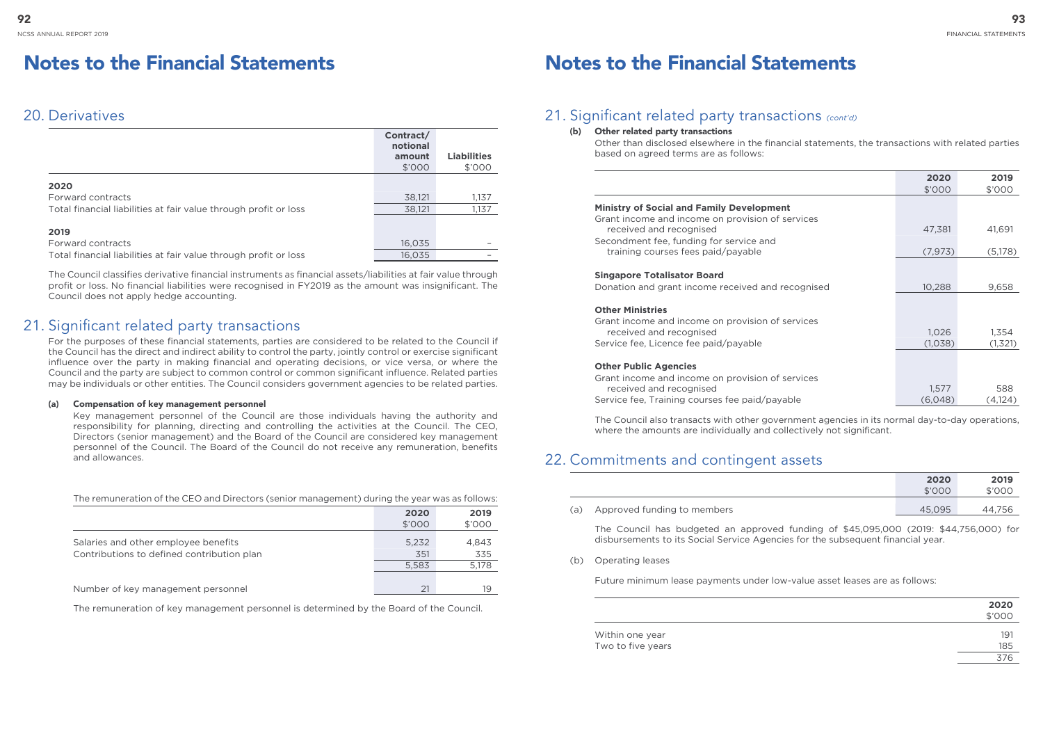### 20. Derivatives

|                                                                  | Contract/<br>notional |                    |
|------------------------------------------------------------------|-----------------------|--------------------|
|                                                                  | amount                | <b>Liabilities</b> |
|                                                                  | \$'000                | \$'000             |
| 2020                                                             |                       |                    |
| Forward contracts                                                | 38,121                | 1,137              |
| Total financial liabilities at fair value through profit or loss | 38,121                | 1,137              |
| 2019                                                             |                       |                    |
| Forward contracts                                                | 16,035                |                    |
| Total financial liabilities at fair value through profit or loss | 16,035                |                    |

The Council classifies derivative financial instruments as financial assets/liabilities at fair value through profit or loss. No financial liabilities were recognised in FY2019 as the amount was insignificant. The Council does not apply hedge accounting.

## 21. Significant related party transactions

For the purposes of these financial statements, parties are considered to be related to the Council if the Council has the direct and indirect ability to control the party, jointly control or exercise significant influence over the party in making financial and operating decisions, or vice versa, or where the Council and the party are subject to common control or common significant influence. Related parties may be individuals or other entities. The Council considers government agencies to be related parties.

Grant income and income on provision of sereceived and recognised Secondment fee, funding for service and

training courses fees paid/payable

#### (a) Compensation of key management personnel

Key management personnel of the Council are those individuals having the authority and responsibility for planning, directing and controlling the activities at the Council. The CEO, Directors (senior management) and the Board of the Council are considered key management personnel of the Council. The Board of the Council do not receive any remuneration, benefits and allowances.

The Council also transacts with other government agencies in its normal day-to-day operations, where the amounts are individually and collectively not significant.

The remuneration of the CEO and Directors (senior management) during the year was as follows:

|                                                                                    | 2020         | 2019         |
|------------------------------------------------------------------------------------|--------------|--------------|
|                                                                                    | \$'000       | \$'000       |
| Salaries and other employee benefits<br>Contributions to defined contribution plan | 5,232<br>351 | 4,843<br>335 |
|                                                                                    | 5.583        | 5,178        |
|                                                                                    |              |              |
| Number of key management personnel                                                 | 21           | 19           |

The remuneration of key management personnel is determined by the Board of the Council.

## 21. Significant related party transactions *(cont'd)*

### (b) Other related party transactions

Other than disclosed elsewhere in the financial statements, the transactions with related parties based on agreed terms are as follows:

|          | 2020     | 2019     |
|----------|----------|----------|
|          | \$'000   | \$'000   |
|          |          |          |
| ervices  |          |          |
|          | 47,381   | 41,691   |
|          |          |          |
|          | (7, 973) | (5,178)  |
|          |          |          |
| cognised | 10,288   | 9,658    |
|          |          |          |
|          |          |          |
| ervices  | 1,026    | 1,354    |
|          | (1,038)  | (1, 321) |
|          |          |          |
|          |          |          |
| ervices  |          |          |
|          | 1,577    | 588      |
| ble      | (6,048)  | (4, 124) |

#### **Ministry of Social and Family Development**

### **Singapore Totalisator Board**

Donation and grant income received and re

#### **Other Ministries**

Grant income and income on provision of sereceived and recognised Service fee, Licence fee paid/payable

### **Other Public Agencies**

Grant income and income on provision of sereceived and recognised

Service fee, Training courses fee paid/payal

## 22. Commitments and contingent assets

(a) Approved funding to members

| 2020   | 2019   |
|--------|--------|
| \$'000 | \$'000 |
| 45,095 | 44,756 |
|        |        |

The Council has budgeted an approved funding of \$45,095,000 (2019: \$44,756,000) for disbursements to its Social Service Agencies for the subsequent financial year.

(b) Operating leases

Future minimum lease payments under low-value asset leases are as follows:

Within one year Two to five years

| $2020$<br>$$'000$ |
|-------------------|
|                   |
|                   |
| 191               |
| $rac{185}{185}$   |
| 376               |
|                   |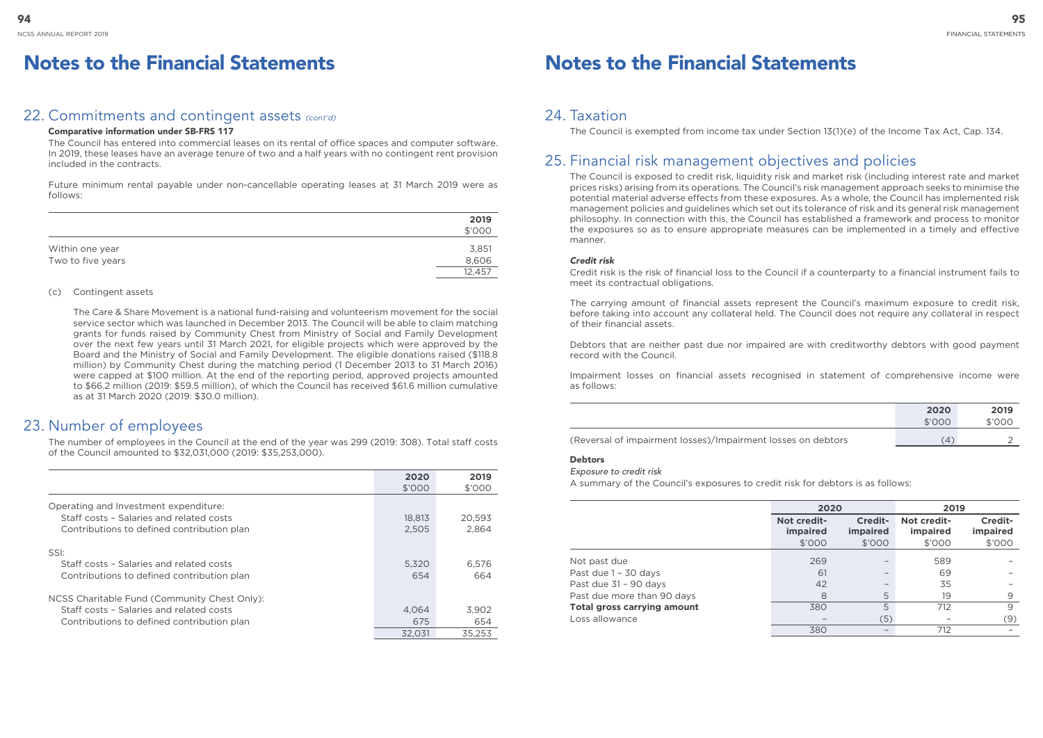### 22. Commitments and contingent assets *(cont'd)*

### Comparative information under SB-FRS 117

The Council has entered into commercial leases on its rental of office spaces and computer software. In 2019, these leases have an average tenure of two and a half years with no contingent rent provision included in the contracts.

Future minimum rental payable under non-cancellable operating leases at 31 March 2019 were as follows:

|                   | 2019<br>\$'000 |
|-------------------|----------------|
| Within one year   | 3,851          |
| Two to five years | 8,606          |
|                   | 12,457         |

#### (c) Contingent assets

The Care & Share Movement is a national fund-raising and volunteerism movement for the social service sector which was launched in December 2013. The Council will be able to claim matching grants for funds raised by Community Chest from Ministry of Social and Family Development over the next few years until 31 March 2021, for eligible projects which were approved by the Board and the Ministry of Social and Family Development. The eligible donations raised (\$118.8 million) by Community Chest during the matching period (1 December 2013 to 31 March 2016) were capped at \$100 million. At the end of the reporting period, approved projects amounted to \$66.2 million (2019: \$59.5 million), of which the Council has received \$61.6 million cumulative as at 31 March 2020 (2019: \$30.0 million).

### 23. Number of employees

The number of employees in the Council at the end of the year was 299 (2019: 308). Total staff costs of the Council amounted to \$32,031,000 (2019: \$35,253,000).

|                                              | 2020   | 2019   |
|----------------------------------------------|--------|--------|
|                                              |        |        |
|                                              | \$'000 | \$'000 |
| Operating and Investment expenditure:        |        |        |
| Staff costs - Salaries and related costs     | 18,813 | 20,593 |
| Contributions to defined contribution plan   | 2,505  | 2,864  |
| SSI:                                         |        |        |
| Staff costs - Salaries and related costs     | 5,320  | 6.576  |
| Contributions to defined contribution plan   | 654    | 664    |
| NCSS Charitable Fund (Community Chest Only): |        |        |
| Staff costs - Salaries and related costs     | 4,064  | 3,902  |
| Contributions to defined contribution plan   | 675    | 654    |
|                                              | 32,031 | 35,253 |

### 24. Taxation

The Council is exempted from income tax under Section 13(1)(e) of the Income Tax Act, Cap. 134.

## 25. Financial risk management objectives and policies

The Council is exposed to credit risk, liquidity risk and market risk (including interest rate and market prices risks) arising from its operations. The Council's risk management approach seeks to minimise the potential material adverse effects from these exposures. As a whole, the Council has implemented risk management policies and guidelines which set out its tolerance of risk and its general risk management philosophy. In connection with this, the Council has established a framework and process to monitor the exposures so as to ensure appropriate measures can be implemented in a timely and effective manner.

#### *Credit risk*

Credit risk is the risk of financial loss to the Council if a counterparty to a financial instrument fails to meet its contractual obligations.

The carrying amount of financial assets represent the Council's maximum exposure to credit risk, before taking into account any collateral held. The Council does not require any collateral in respect of their financial assets.

Debtors that are neither past due nor impaired are with creditworthy debtors with good payment record with the Council.

Impairment losses on financial assets recognised in statement of comprehensive income were as follows:

(Reversal of impairment losses)/Impairment loss

#### **Debtors**

|               | 2020   | 2019   |
|---------------|--------|--------|
|               | \$'000 | \$'000 |
| es on debtors |        |        |

*Exposure to credit risk*

A summary of the Council's exposures to credit risk for debtors is as follows:

**No** 

Not past due Past due  $1 - 30$  days Past due  $31 - 90$  days Past due more than 90 days **Total gross carrying amount** Loss allowance

| 2020                          |                            | 2019                                  |                     |  |
|-------------------------------|----------------------------|---------------------------------------|---------------------|--|
| ot credit-<br><b>impaired</b> | Credit-<br><b>impaired</b> | <b>Not credit-</b><br><b>impaired</b> | Credit-<br>impaired |  |
| \$'000                        | \$'000                     | \$'000                                | \$'000              |  |
| 269                           |                            | 589                                   |                     |  |
| 61                            |                            | 69                                    |                     |  |
| 42                            |                            | 35                                    |                     |  |
| 8                             | 5                          | 19                                    | 9                   |  |
| 380                           | 5                          | 712                                   | 9                   |  |
|                               | (5)                        |                                       | (9)                 |  |
| 380                           |                            | 712                                   |                     |  |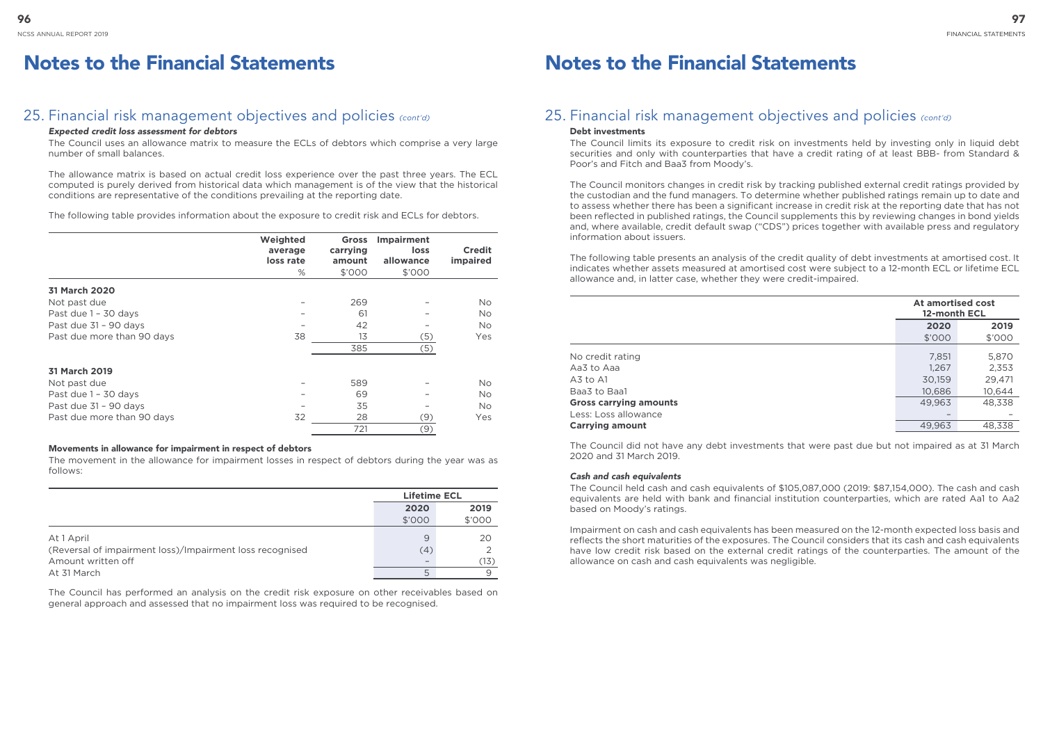## 25. Financial risk management objectives and policies *(cont'd)*

#### *Expected credit loss assessment for debtors*

The Council uses an allowance matrix to measure the ECLs of debtors which comprise a very large number of small balances.

The allowance matrix is based on actual credit loss experience over the past three years. The ECL computed is purely derived from historical data which management is of the view that the historical conditions are representative of the conditions prevailing at the reporting date.

The following table provides information about the exposure to credit risk and ECLs for debtors.

|                            | Weighted<br>average<br>loss rate | <b>Gross</b><br>carrying<br>amount | <b>Impairment</b><br>loss<br>allowance | <b>Credit</b><br>impaired |
|----------------------------|----------------------------------|------------------------------------|----------------------------------------|---------------------------|
|                            | $\%$                             | \$'000                             | \$'000                                 |                           |
| <b>31 March 2020</b>       |                                  |                                    |                                        |                           |
| Not past due               |                                  | 269                                |                                        | No.                       |
| Past due 1 - 30 days       |                                  | 61                                 |                                        | <b>No</b>                 |
| Past due 31 - 90 days      |                                  | 42                                 |                                        | <b>No</b>                 |
| Past due more than 90 days | 38                               | 13                                 | (5)                                    | Yes                       |
|                            |                                  | 385                                | (5)                                    |                           |
| <b>31 March 2019</b>       |                                  |                                    |                                        |                           |
| Not past due               |                                  | 589                                |                                        | <b>No</b>                 |
| Past due 1 - 30 days       |                                  | 69                                 |                                        | <b>No</b>                 |
| Past due 31 - 90 days      |                                  | 35                                 |                                        | <b>No</b>                 |
| Past due more than 90 days | 32                               | 28                                 | (9)                                    | Yes                       |
|                            |                                  | 721                                | (9)                                    |                           |

#### Movements in allowance for impairment in respect of debtors

The movement in the allowance for impairment losses in respect of debtors during the year was as follows:

|                                                          | <b>Lifetime ECL</b> |        |  |  |
|----------------------------------------------------------|---------------------|--------|--|--|
|                                                          | 2020                | 2019   |  |  |
|                                                          | \$'000              | \$'000 |  |  |
| At 1 April                                               | 9                   | 20     |  |  |
| (Reversal of impairment loss)/Impairment loss recognised | (4)                 |        |  |  |
| Amount written off                                       |                     | (13)   |  |  |
| At 31 March                                              | 5                   |        |  |  |

The Council has performed an analysis on the credit risk exposure on other receivables based on general approach and assessed that no impairment loss was required to be recognised.

## 25. Financial risk management objectives and policies *(cont'd)*

#### Debt investments

Impairment on cash and cash equivalents has been measured on the 12-month expected loss basis and reflects the short maturities of the exposures. The Council considers that its cash and cash equivalents have low credit risk based on the external credit ratings of the counterparties. The amount of the allowance on cash and cash equivalents was negligible.

The Council limits its exposure to credit risk on investments held by investing only in liquid debt securities and only with counterparties that have a credit rating of at least BBB- from Standard & Poor's and Fitch and Baa3 from Moody's.

The Council monitors changes in credit risk by tracking published external credit ratings provided by the custodian and the fund managers. To determine whether published ratings remain up to date and to assess whether there has been a significant increase in credit risk at the reporting date that has not been reflected in published ratings, the Council supplements this by reviewing changes in bond yields and, where available, credit default swap ("CDS") prices together with available press and regulatory information about issuers.

The following table presents an analysis of the credit quality of debt investments at amortised cost. It indicates whether assets measured at amortised cost were subject to a 12-month ECL or lifetime ECL allowance and, in latter case, whether they were credit-impaired.

| No credit rating              |
|-------------------------------|
| Aa3 to Aaa                    |
| $A3$ to $A1$                  |
| Baa3 to Baa1                  |
| <b>Gross carrying amounts</b> |
| Less: Loss allowance          |
| -- - --- - - ---              |

**Carrying amount** 

|                                            |                          | At amortised cost<br>12-month ECL |  |  |
|--------------------------------------------|--------------------------|-----------------------------------|--|--|
|                                            | 2020                     | 2019                              |  |  |
|                                            | \$'000                   | \$'000                            |  |  |
| No credit rating<br>Aa3 to Aaa<br>A3 to A1 | 7,851<br>1,267<br>30,159 | 5,870<br>2,353<br>29,471          |  |  |
| Baa3 to Baa1                               | 10,686                   | 10,644                            |  |  |
| <b>Gross carrying amounts</b>              | 49,963                   | 48,338                            |  |  |
| Less: Loss allowance                       |                          |                                   |  |  |
| <b>Carrying amount</b>                     | 49,963                   | 48,338                            |  |  |

The Council did not have any debt investments that were past due but not impaired as at 31 March 2020 and 31 March 2019.

#### *Cash and cash equivalents*

The Council held cash and cash equivalents of \$105,087,000 (2019: \$87,154,000). The cash and cash equivalents are held with bank and financial institution counterparties, which are rated Aa1 to Aa2 based on Moody's ratings.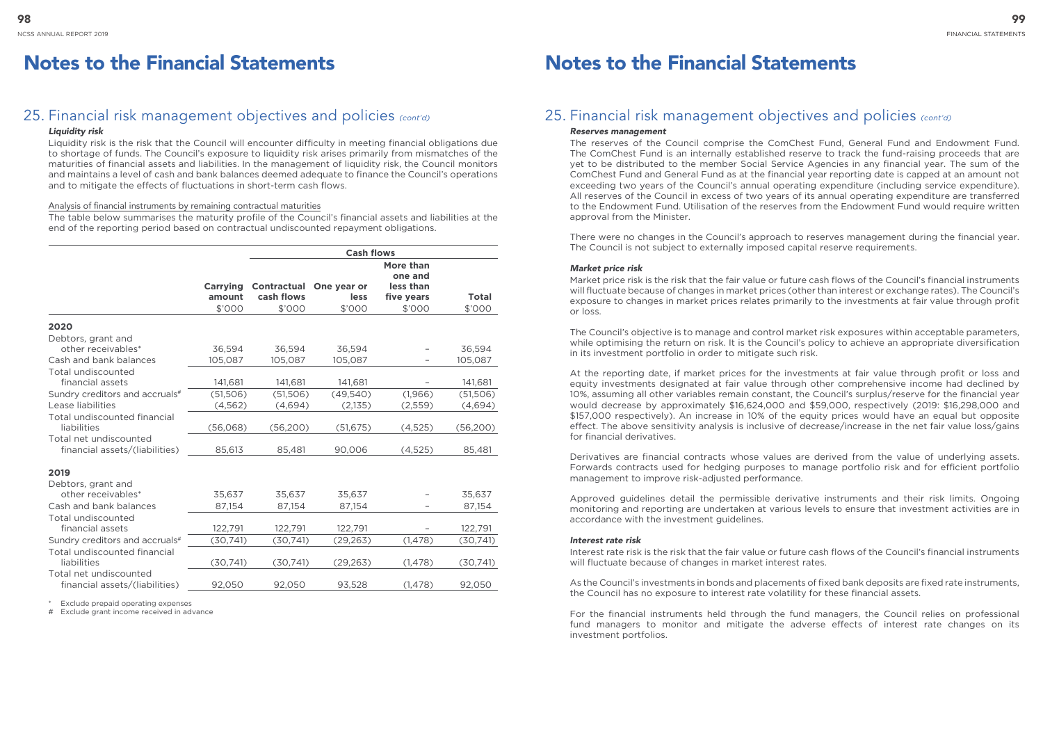## 25. Financial risk management objectives and policies *(cont'd)*

#### *Liquidity risk*

Liquidity risk is the risk that the Council will encounter difficulty in meeting financial obligations due to shortage of funds. The Council's exposure to liquidity risk arises primarily from mismatches of the maturities of financial assets and liabilities. In the management of liquidity risk, the Council monitors and maintains a level of cash and bank balances deemed adequate to finance the Council's operations and to mitigate the effects of fluctuations in short-term cash flows.

#### Analysis of financial instruments by remaining contractual maturities

The table below summarises the maturity profile of the Council's financial assets and liabilities at the end of the reporting period based on contractual undiscounted repayment obligations.

|                                                          |                           |                                  | <b>Cash flows</b>   |                         |              |
|----------------------------------------------------------|---------------------------|----------------------------------|---------------------|-------------------------|--------------|
|                                                          |                           |                                  |                     | More than<br>one and    |              |
|                                                          | <b>Carrying</b><br>amount | <b>Contractual</b><br>cash flows | One year or<br>less | less than<br>five years | <b>Total</b> |
|                                                          | \$'000                    | \$'000                           | \$'000              | \$'000                  | \$'000       |
| 2020                                                     |                           |                                  |                     |                         |              |
| Debtors, grant and<br>other receivables*                 | 36,594                    | 36,594                           | 36,594              |                         | 36,594       |
| Cash and bank balances                                   | 105,087                   | 105,087                          | 105,087             |                         | 105,087      |
| Total undiscounted<br>financial assets                   | 141,681                   | 141,681                          | 141,681             |                         | 141,681      |
| Sundry creditors and accruals <sup>#</sup>               | (51, 506)                 | (51, 506)                        | (49, 540)           | (1,966)                 | (51,506)     |
| Lease liabilities                                        | (4, 562)                  | (4,694)                          | (2,135)             | (2,559)                 | (4,694)      |
| Total undiscounted financial<br>liabilities              | (56,068)                  | (56,200)                         | (51, 675)           | (4, 525)                | (56,200)     |
| Total net undiscounted<br>financial assets/(liabilities) | 85,613                    | 85,481                           | 90,006              | (4,525)                 | 85,481       |
| 2019                                                     |                           |                                  |                     |                         |              |
| Debtors, grant and<br>other receivables*                 | 35,637                    | 35,637                           | 35,637              |                         | 35,637       |
| Cash and bank balances                                   | 87,154                    | 87,154                           | 87,154              |                         | 87,154       |
| Total undiscounted<br>financial assets                   | 122,791                   | 122,791                          | 122,791             |                         | 122,791      |
| Sundry creditors and accruals <sup>#</sup>               | (30, 741)                 | (30, 741)                        | (29, 263)           | (1, 478)                | (30, 741)    |
| Total undiscounted financial<br>liabilities              | (30, 741)                 | (30, 741)                        | (29, 263)           | (1, 478)                | (30, 741)    |
| Total net undiscounted<br>financial assets/(liabilities) | 92,050                    | 92,050                           | 93,528              | (1, 478)                | 92,050       |

\* Exclude prepaid operating expenses

# Exclude grant income received in advance

### 25. Financial risk management objectives and policies *(cont'd)*

#### *Reserves management*

The reserves of the Council comprise the ComChest Fund, General Fund and Endowment Fund. The ComChest Fund is an internally established reserve to track the fund-raising proceeds that are yet to be distributed to the member Social Service Agencies in any financial year. The sum of the ComChest Fund and General Fund as at the financial year reporting date is capped at an amount not exceeding two years of the Council's annual operating expenditure (including service expenditure). All reserves of the Council in excess of two years of its annual operating expenditure are transferred to the Endowment Fund. Utilisation of the reserves from the Endowment Fund would require written approval from the Minister.

There were no changes in the Council's approach to reserves management during the financial year. The Council is not subject to externally imposed capital reserve requirements.

#### *Market price risk*

Market price risk is the risk that the fair value or future cash flows of the Council's financial instruments will fluctuate because of changes in market prices (other than interest or exchange rates). The Council's exposure to changes in market prices relates primarily to the investments at fair value through profit or loss.

The Council's objective is to manage and control market risk exposures within acceptable parameters, while optimising the return on risk. It is the Council's policy to achieve an appropriate diversification in its investment portfolio in order to mitigate such risk.

At the reporting date, if market prices for the investments at fair value through profit or loss and equity investments designated at fair value through other comprehensive income had declined by 10%, assuming all other variables remain constant, the Council's surplus/reserve for the financial year would decrease by approximately \$16,624,000 and \$59,000, respectively (2019: \$16,298,000 and \$157,000 respectively). An increase in 10% of the equity prices would have an equal but opposite effect. The above sensitivity analysis is inclusive of decrease/increase in the net fair value loss/gains for financial derivatives.

Derivatives are financial contracts whose values are derived from the value of underlying assets. Forwards contracts used for hedging purposes to manage portfolio risk and for efficient portfolio management to improve risk-adjusted performance.

Approved guidelines detail the permissible derivative instruments and their risk limits. Ongoing monitoring and reporting are undertaken at various levels to ensure that investment activities are in accordance with the investment guidelines.

#### *Interest rate risk*

Interest rate risk is the risk that the fair value or future cash flows of the Council's financial instruments will fluctuate because of changes in market interest rates.

As the Council's investments in bonds and placements of fixed bank deposits are fixed rate instruments, the Council has no exposure to interest rate volatility for these financial assets.

For the financial instruments held through the fund managers, the Council relies on professional fund managers to monitor and mitigate the adverse effects of interest rate changes on its investment portfolios.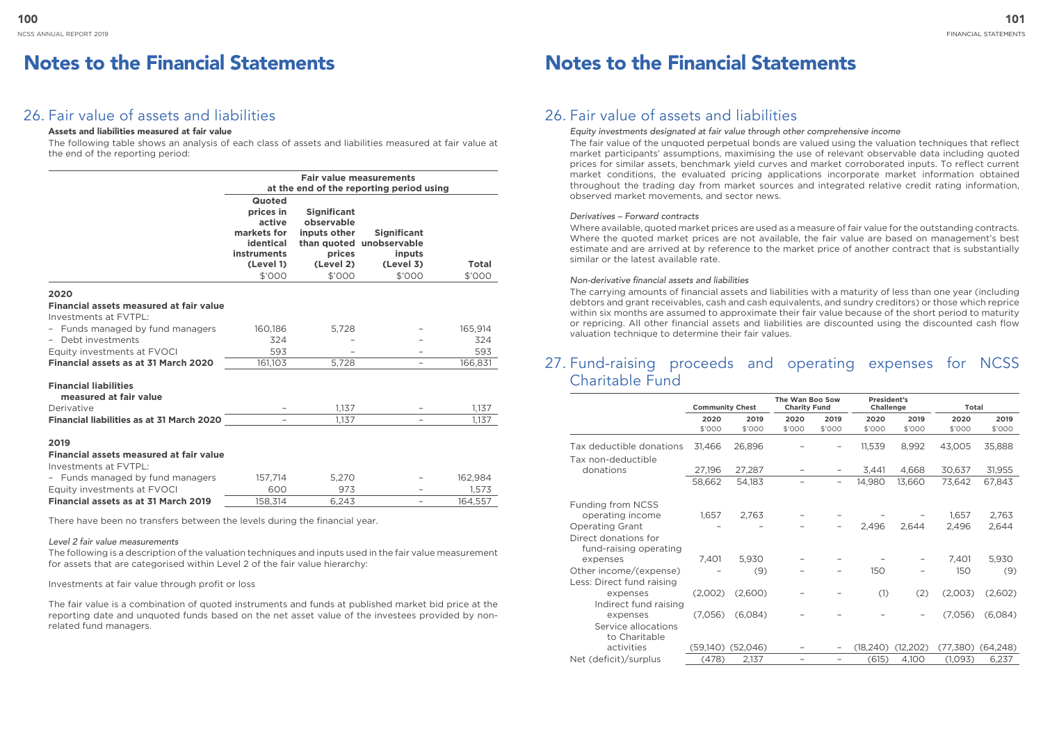### 26. Fair value of assets and liabilities

### Assets and liabilities measured at fair value

The following table shows an analysis of each class of assets and liabilities measured at fair value at the end of the reporting period:

|                                                                                 | <b>Fair value measurements</b><br>at the end of the reporting period using                             |                                                                                                  |                                                                     |                        |  |  |  |
|---------------------------------------------------------------------------------|--------------------------------------------------------------------------------------------------------|--------------------------------------------------------------------------------------------------|---------------------------------------------------------------------|------------------------|--|--|--|
|                                                                                 | Quoted<br>prices in<br>active<br>markets for<br><b>identical</b><br>instruments<br>(Level 1)<br>\$'000 | <b>Significant</b><br>observable<br>inputs other<br>than quoted<br>prices<br>(Level 2)<br>\$'000 | <b>Significant</b><br>unobservable<br>inputs<br>(Level 3)<br>\$'000 | <b>Total</b><br>\$'000 |  |  |  |
|                                                                                 |                                                                                                        |                                                                                                  |                                                                     |                        |  |  |  |
| 2020<br><b>Financial assets measured at fair value</b><br>Investments at FVTPL: |                                                                                                        |                                                                                                  |                                                                     |                        |  |  |  |
| Funds managed by fund managers                                                  | 160,186                                                                                                | 5,728                                                                                            |                                                                     | 165,914                |  |  |  |
| - Debt investments                                                              | 324                                                                                                    |                                                                                                  |                                                                     | 324                    |  |  |  |
| Equity investments at FVOCI                                                     | 593                                                                                                    |                                                                                                  |                                                                     | 593                    |  |  |  |
| Financial assets as at 31 March 2020                                            | 161,103                                                                                                | 5,728                                                                                            |                                                                     | 166,831                |  |  |  |
| <b>Financial liabilities</b><br>measured at fair value                          |                                                                                                        |                                                                                                  |                                                                     |                        |  |  |  |
| Derivative                                                                      |                                                                                                        | 1,137                                                                                            |                                                                     | 1,137                  |  |  |  |
| <b>Financial liabilities as at 31 March 2020</b>                                |                                                                                                        | 1,137                                                                                            |                                                                     | 1,137                  |  |  |  |
| 2019<br><b>Financial assets measured at fair value</b>                          |                                                                                                        |                                                                                                  |                                                                     |                        |  |  |  |
| Investments at FVTPL:                                                           |                                                                                                        |                                                                                                  |                                                                     |                        |  |  |  |
| - Funds managed by fund managers                                                | 157,714                                                                                                | 5,270                                                                                            |                                                                     | 162,984                |  |  |  |
| Equity investments at FVOCI                                                     | 600                                                                                                    | 973                                                                                              |                                                                     | 1,573                  |  |  |  |
| Financial assets as at 31 March 2019                                            | 158,314                                                                                                | 6,243                                                                                            | $\overline{\phantom{0}}$                                            | 164,557                |  |  |  |

There have been no transfers between the levels during the financial year.

#### *Level 2 fair value measurements*

The following is a description of the valuation techniques and inputs used in the fair value measurement for assets that are categorised within Level 2 of the fair value hierarchy:

Investments at fair value through profit or loss

The fair value is a combination of quoted instruments and funds at published market bid price at the reporting date and unquoted funds based on the net asset value of the investees provided by nonrelated fund managers.

## 26. Fair value of assets and liabilities

Equity investments designated at fair value through other comprehensive income The fair value of the unquoted perpetual bonds are valued using the valuation techniques that reflect market participants' assumptions, maximising the use of relevant observable data including quoted prices for similar assets, benchmark yield curves and market corroborated inputs. To reflect current market conditions, the evaluated pricing applications incorporate market information obtained throughout the trading day from market sources and integrated relative credit rating information, observed market movements, and sector news.

#### *Derivatives – Forward contracts*

Where available, quoted market prices are used as a measure of fair value for the outstanding contracts. Where the quoted market prices are not available, the fair value are based on management's best estimate and are arrived at by reference to the market price of another contract that is substantially similar or the latest available rate.

#### Non-derivative financial assets and liabilities

The carrying amounts of financial assets and liabilities with a maturity of less than one year (including debtors and grant receivables, cash and cash equivalents, and sundry creditors) or those which reprice within six months are assumed to approximate their fair value because of the short period to maturity or repricing. All other financial assets and liabilities are discounted using the discounted cash flow valuation technique to determine their fair values.

## 27. Fund-raising proceeds and operating expenses for NCSS Charitable Fund

|                                                |          | The Wan Boo Sow<br><b>Charity Fund</b> |        | <b>President's</b><br><b>Community Chest</b><br><b>Challenge</b> |           |           | <b>Total</b> |          |
|------------------------------------------------|----------|----------------------------------------|--------|------------------------------------------------------------------|-----------|-----------|--------------|----------|
|                                                | 2020     | 2019                                   | 2020   | 2019                                                             | 2020      | 2019      | 2020         | 2019     |
|                                                | \$'000   | \$'000                                 | \$'000 | \$'000                                                           | \$'000    | \$'000    | \$'000       | \$'000   |
| Tax deductible donations<br>Tax non-deductible | 31,466   | 26,896                                 |        |                                                                  | 11,539    | 8,992     | 43,005       | 35,888   |
| donations                                      | 27,196   | 27,287                                 |        |                                                                  | 3,441     | 4,668     | 30,637       | 31,955   |
|                                                | 58,662   | 54,183                                 |        | -                                                                | 14,980    | 13,660    | 73,642       | 67,843   |
| Funding from NCSS                              |          |                                        |        |                                                                  |           |           |              |          |
| operating income                               | 1,657    | 2,763                                  |        |                                                                  |           |           | 1,657        | 2,763    |
| <b>Operating Grant</b>                         |          |                                        |        |                                                                  | 2,496     | 2,644     | 2,496        | 2,644    |
| Direct donations for<br>fund-raising operating |          |                                        |        |                                                                  |           |           |              |          |
| expenses                                       | 7,401    | 5,930                                  |        |                                                                  |           |           | 7,401        | 5,930    |
| Other income/(expense)                         |          | (9)                                    |        |                                                                  | 150       |           | 150          | (9)      |
| Less: Direct fund raising                      |          |                                        |        |                                                                  |           |           |              |          |
| expenses                                       | (2,002)  | (2,600)                                |        |                                                                  | (1)       | (2)       | (2,003)      | (2,602)  |
| Indirect fund raising                          |          |                                        |        |                                                                  |           |           |              |          |
| expenses                                       | (7,056)  | (6,084)                                |        |                                                                  |           |           | (7,056)      | (6,084)  |
| Service allocations<br>to Charitable           |          |                                        |        |                                                                  |           |           |              |          |
| activities                                     | (59,140) | (52,046)                               |        |                                                                  | (18, 240) | (12, 202) | (77, 380)    | (64,248) |
| Net (deficit)/surplus                          | (478)    | 2,137                                  |        |                                                                  | (615)     | 4,100     | (1,093)      | 6,237    |